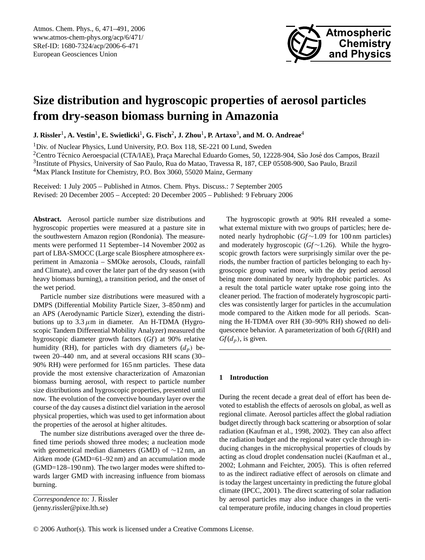

# **Size distribution and hygroscopic properties of aerosol particles from dry-season biomass burning in Amazonia**

 ${\bf J.~Rissler}^1, {\bf A.~Vestin}^1, {\bf E.~Swietlicki}^1, {\bf G.~Fisch}^2, {\bf J.~Zhou}^1, {\bf P.~Artaxo}^3, {\bf and~M.~O.~Andreae}^4$ 

<sup>1</sup>Div. of Nuclear Physics, Lund University, P.O. Box 118, SE-221 00 Lund, Sweden  $2$ Centro Técnico Aeroespacial (CTA/IAE), Praça Marechal Eduardo Gomes, 50, 12228-904, São José dos Campos, Brazil 3 Institute of Physics, University of Sao Paulo, Rua do Matao, Travessa R, 187, CEP 05508-900, Sao Paulo, Brazil <sup>4</sup>Max Planck Institute for Chemistry, P.O. Box 3060, 55020 Mainz, Germany

Received: 1 July 2005 – Published in Atmos. Chem. Phys. Discuss.: 7 September 2005 Revised: 20 December 2005 – Accepted: 20 December 2005 – Published: 9 February 2006

**Abstract.** Aerosol particle number size distributions and hygroscopic properties were measured at a pasture site in the southwestern Amazon region (Rondonia). The measurements were performed 11 September–14 November 2002 as part of LBA-SMOCC (Large scale Biosphere atmosphere experiment in Amazonia – SMOke aerosols, Clouds, rainfall and Climate), and cover the later part of the dry season (with heavy biomass burning), a transition period, and the onset of the wet period.

Particle number size distributions were measured with a DMPS (Differential Mobility Particle Sizer, 3–850 nm) and an APS (Aerodynamic Particle Sizer), extending the distributions up to  $3.3 \mu m$  in diameter. An H-TDMA (Hygroscopic Tandem Differential Mobility Analyzer) measured the hygroscopic diameter growth factors (*Gf*) at 90% relative humidity (RH), for particles with dry diameters  $(d_p)$  between 20–440 nm, and at several occasions RH scans (30– 90% RH) were performed for 165 nm particles. These data provide the most extensive characterization of Amazonian biomass burning aerosol, with respect to particle number size distributions and hygroscopic properties, presented until now. The evolution of the convective boundary layer over the course of the day causes a distinct diel variation in the aerosol physical properties, which was used to get information about the properties of the aerosol at higher altitudes.

The number size distributions averaged over the three defined time periods showed three modes; a nucleation mode with geometrical median diameters (GMD) of ∼12 nm, an Aitken mode (GMD=61–92 nm) and an accumulation mode (GMD=128–190 nm). The two larger modes were shifted towards larger GMD with increasing influence from biomass burning.

<span id="page-0-0"></span>*Correspondence to:* J. Rissler (jenny.rissler@pixe.lth.se)

The hygroscopic growth at 90% RH revealed a somewhat external mixture with two groups of particles; here denoted nearly hydrophobic (*Gf*∼1.09 for 100 nm particles) and moderately hygroscopic (*Gf*∼1.26). While the hygroscopic growth factors were surprisingly similar over the periods, the number fraction of particles belonging to each hygroscopic group varied more, with the dry period aerosol being more dominated by nearly hydrophobic particles. As a result the total particle water uptake rose going into the cleaner period. The fraction of moderately hygroscopic particles was consistently larger for particles in the accumulation mode compared to the Aitken mode for all periods. Scanning the H-TDMA over RH (30–90% RH) showed no deliquescence behavior. A parameterization of both *Gf*(RH) and  $Gf(d_p)$ , is given.

# **1 Introduction**

During the recent decade a great deal of effort has been devoted to establish the effects of aerosols on global, as well as regional climate. Aerosol particles affect the global radiation budget directly through back scattering or absorption of solar radiation (Kaufman et al., 1998, 2002). They can also affect the radiation budget and the regional water cycle through inducing changes in the microphysical properties of clouds by acting as cloud droplet condensation nuclei (Kaufman et al., 2002; Lohmann and Feichter, 2005). This is often referred to as the indirect radiative effect of aerosols on climate and is today the largest uncertainty in predicting the future global climate (IPCC, 2001). The direct scattering of solar radiation by aerosol particles may also induce changes in the vertical temperature profile, inducing changes in cloud properties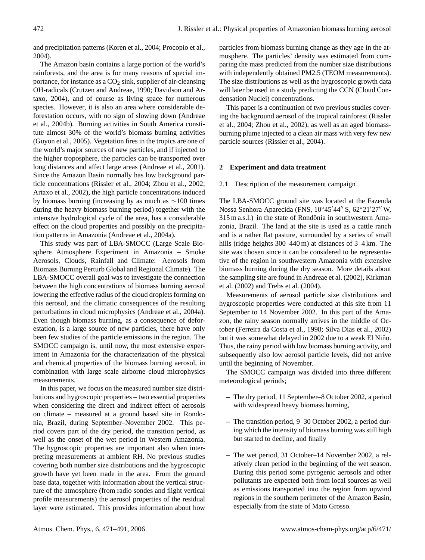and precipitation patterns (Koren et al., 2004; Procopio et al., 2004).

The Amazon basin contains a large portion of the world's rainforests, and the area is for many reasons of special importance, for instance as a  $CO<sub>2</sub>$  sink, supplier of air-cleansing OH-radicals (Crutzen and Andreae, 1990; Davidson and Artaxo, 2004), and of course as living space for numerous species. However, it is also an area where considerable deforestation occurs, with no sign of slowing down (Andreae et al., 2004b). Burning activities in South America constitute almost 30% of the world's biomass burning activities (Guyon et al., 2005). Vegetation fires in the tropics are one of the world's major sources of new particles, and if injected to the higher troposphere, the particles can be transported over long distances and affect large areas (Andreae et al., 2001). Since the Amazon Basin normally has low background particle concentrations (Rissler et al., 2004; Zhou et al., 2002; Artaxo et al., 2002), the high particle concentrations induced by biomass burning (increasing by as much as ∼100 times during the heavy biomass burning period) together with the intensive hydrological cycle of the area, has a considerable effect on the cloud properties and possibly on the precipitation patterns in Amazonia (Andreae et al., 2004a).

This study was part of LBA-SMOCC (Large Scale Biosphere Atmosphere Experiment in Amazonia – Smoke Aerosols, Clouds, Rainfall and Climate: Aerosols from Biomass Burning Perturb Global and Regional Climate). The LBA-SMOCC overall goal was to investigate the connection between the high concentrations of biomass burning aerosol lowering the effective radius of the cloud droplets forming on this aerosol, and the climatic consequences of the resulting perturbations in cloud microphysics (Andreae et al., 2004a). Even though biomass burning, as a consequence of deforestation, is a large source of new particles, there have only been few studies of the particle emissions in the region. The SMOCC campaign is, until now, the most extensive experiment in Amazonia for the characterization of the physical and chemical properties of the biomass burning aerosol, in combination with large scale airborne cloud microphysics measurements.

In this paper, we focus on the measured number size distributions and hygroscopic properties – two essential properties when considering the direct and indirect effect of aerosols on climate – measured at a ground based site in Rondonia, Brazil, during September–November 2002. This period covers part of the dry period, the transition period, as well as the onset of the wet period in Western Amazonia. The hygroscopic properties are important also when interpreting measurements at ambient RH. No previous studies covering both number size distributions and the hygroscopic growth have yet been made in the area. From the ground base data, together with information about the vertical structure of the atmosphere (from radio sondes and flight vertical profile measurements) the aerosol properties of the residual layer were estimated. This provides information about how particles from biomass burning change as they age in the atmosphere. The particles' density was estimated from comparing the mass predicted from the number size distributions with independently obtained PM2.5 (TEOM measurements). The size distributions as well as the hygroscopic growth data will later be used in a study predicting the CCN (Cloud Condensation Nuclei) concentrations.

This paper is a continuation of two previous studies covering the background aerosol of the tropical rainforest (Rissler et al., 2004; Zhou et al., 2002), as well as an aged biomassburning plume injected to a clean air mass with very few new particle sources (Rissler et al., 2004).

## **2 Experiment and data treatment**

#### 2.1 Description of the measurement campaign

The LBA-SMOCC ground site was located at the Fazenda Nossa Senhora Aparecida (FNS, 10°45'44" S, 62°21'27" W,  $315$  m a.s.l.) in the state of Rondônia in southwestern Amazonia, Brazil. The land at the site is used as a cattle ranch and is a rather flat pasture, surrounded by a series of small hills (ridge heights 300–440 m) at distances of 3–4 km. The site was chosen since it can be considered to be representative of the region in southwestern Amazonia with extensive biomass burning during the dry season. More details about the sampling site are found in Andreae et al. (2002), Kirkman et al. (2002) and Trebs et al. (2004).

Measurements of aerosol particle size distributions and hygroscopic properties were conducted at this site from 11 September to 14 November 2002. In this part of the Amazon, the rainy season normally arrives in the middle of October (Ferreira da Costa et al., 1998; Silva Dias et al., 2002) but it was somewhat delayed in 2002 due to a weak El Niño. Thus, the rainy period with low biomass burning activity, and subsequently also low aerosol particle levels, did not arrive until the beginning of November.

The SMOCC campaign was divided into three different meteorological periods;

- **–** The dry period, 11 September–8 October 2002, a period with widespread heavy biomass burning,
- **–** The transition period, 9–30 October 2002, a period during which the intensity of biomass burning was still high but started to decline, and finally
- **–** The wet period, 31 October–14 November 2002, a relatively clean period in the beginning of the wet season. During this period some pyrogenic aerosols and other pollutants are expected both from local sources as well as emissions transported into the region from upwind regions in the southern perimeter of the Amazon Basin, especially from the state of Mato Grosso.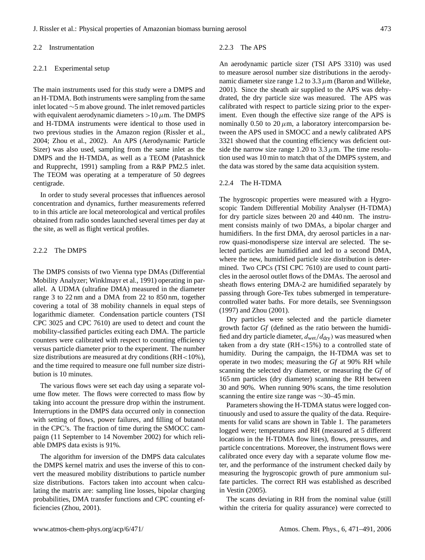### 2.2 Instrumentation

# 2.2.1 Experimental setup

The main instruments used for this study were a DMPS and an H-TDMA. Both instruments were sampling from the same inlet located ∼5 m above ground. The inlet removed particles with equivalent aerodynamic diameters  $>10 \mu$ m. The DMPS and H-TDMA instruments were identical to those used in two previous studies in the Amazon region (Rissler et al., 2004; Zhou et al., 2002). An APS (Aerodynamic Particle Sizer) was also used, sampling from the same inlet as the DMPS and the H-TMDA, as well as a TEOM (Patashnick and Rupprecht, 1991) sampling from a R&P PM2.5 inlet. The TEOM was operating at a temperature of 50 degrees centigrade.

In order to study several processes that influences aerosol concentration and dynamics, further measurements referred to in this article are local meteorological and vertical profiles obtained from radio sondes launched several times per day at the site, as well as flight vertical profiles.

# 2.2.2 The DMPS

The DMPS consists of two Vienna type DMAs (Differential Mobility Analyzer; Winklmayr et al., 1991) operating in parallel. A UDMA (ultrafine DMA) measured in the diameter range 3 to 22 nm and a DMA from 22 to 850 nm, together covering a total of 38 mobility channels in equal steps of logarithmic diameter. Condensation particle counters (TSI CPC 3025 and CPC 7610) are used to detect and count the mobility-classified particles exiting each DMA. The particle counters were calibrated with respect to counting efficiency versus particle diameter prior to the experiment. The number size distributions are measured at dry conditions (RH<10%), and the time required to measure one full number size distribution is 10 minutes.

The various flows were set each day using a separate volume flow meter. The flows were corrected to mass flow by taking into account the pressure drop within the instrument. Interruptions in the DMPS data occurred only in connection with setting of flows, power failures, and filling of butanol in the CPC's. The fraction of time during the SMOCC campaign (11 September to 14 November 2002) for which reliable DMPS data exists is 91%.

The algorithm for inversion of the DMPS data calculates the DMPS kernel matrix and uses the inverse of this to convert the measured mobility distributions to particle number size distributions. Factors taken into account when calculating the matrix are: sampling line losses, bipolar charging probabilities, DMA transfer functions and CPC counting efficiencies (Zhou, 2001).

# 2.2.3 The APS

An aerodynamic particle sizer (TSI APS 3310) was used to measure aerosol number size distributions in the aerodynamic diameter size range 1.2 to 3.3  $\mu$ m (Baron and Willeke, 2001). Since the sheath air supplied to the APS was dehydrated, the dry particle size was measured. The APS was calibrated with respect to particle sizing prior to the experiment. Even though the effective size range of the APS is nominally 0.50 to 20  $\mu$ m, a laboratory intercomparsion between the APS used in SMOCC and a newly calibrated APS 3321 showed that the counting efficiency was deficient outside the narrow size range 1.20 to 3.3  $\mu$ m. The time resolution used was 10 min to match that of the DMPS system, and the data was stored by the same data acquisition system.

#### 2.2.4 The H-TDMA

The hygroscopic properties were measured with a Hygroscopic Tandem Differential Mobility Analyser (H-TDMA) for dry particle sizes between 20 and 440 nm. The instrument consists mainly of two DMAs, a bipolar charger and humidifiers. In the first DMA, dry aerosol particles in a narrow quasi-monodisperse size interval are selected. The selected particles are humidified and led to a second DMA, where the new, humidified particle size distribution is determined. Two CPCs (TSI CPC 7610) are used to count particles in the aerosol outlet flows of the DMAs. The aerosol and sheath flows entering DMA-2 are humidified separately by passing through Gore-Tex tubes submerged in temperaturecontrolled water baths. For more details, see Svenningsson (1997) and Zhou (2001).

Dry particles were selected and the particle diameter growth factor *Gf* (defined as the ratio between the humidified and dry particle diameter,  $d_{wet}/d_{dry}$ ) was measured when taken from a dry state (RH<15%) to a controlled state of humidity. During the campaign, the H-TDMA was set to operate in two modes; measuring the *Gf* at 90% RH while scanning the selected dry diameter, or measuring the *Gf* of 165 nm particles (dry diameter) scanning the RH between 30 and 90%. When running 90% scans, the time resolution scanning the entire size range was ∼30–45 min.

Parameters showing the H-TDMA status were logged continuously and used to assure the quality of the data. Requirements for valid scans are shown in Table 1. The parameters logged were; temperatures and RH (measured at 5 different locations in the H-TDMA flow lines), flows, pressures, and particle concentrations. Moreover, the instrument flows were calibrated once every day with a separate volume flow meter, and the performance of the instrument checked daily by measuring the hygroscopic growth of pure ammonium sulfate particles. The correct RH was established as described in Vestin (2005).

The scans deviating in RH from the nominal value (still within the criteria for quality assurance) were corrected to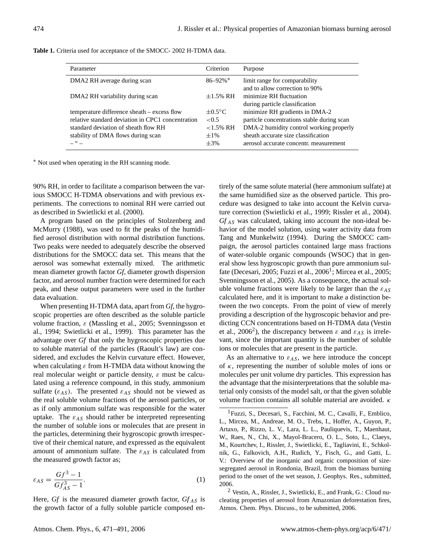| Parameter                                                                                                                                                                            | Criterion                                                  | Purpose                                                                                                                                                                                                  |
|--------------------------------------------------------------------------------------------------------------------------------------------------------------------------------------|------------------------------------------------------------|----------------------------------------------------------------------------------------------------------------------------------------------------------------------------------------------------------|
| DMA2 RH average during scan                                                                                                                                                          | $86 - 92\%$ <sup>*</sup>                                   | limit range for comparability<br>and to allow correction to 90%                                                                                                                                          |
| DMA2 RH variability during scan                                                                                                                                                      | $\pm 1.5\%$ RH                                             | minimize RH fluctuation<br>during particle classification                                                                                                                                                |
| temperature difference sheath – excess flow<br>relative standard deviation in CPC1 concentration<br>standard deviation of sheath flow RH<br>stability of DMA flows during scan<br>66 | $\pm 0.5$ °C<br>< 0.5<br>$<1.5\%$ RH<br>$\pm 1\%$<br>$+3%$ | minimize RH gradients in DMA-2<br>particle concentrations stable during scan<br>DMA-2 humidity control working properly<br>sheath accurate size classification<br>aerosol accurate concentr. measurement |

**Table 1.** Criteria used for acceptance of the SMOCC- 2002 H-TDMA data.

<sup>∗</sup> Not used when operating in the RH scanning mode.

90% RH, in order to facilitate a comparison between the various SMOCC H-TDMA observations and with previous experiments. The corrections to nominal RH were carried out as described in Swietlicki et al. (2000).

A program based on the principles of Stolzenberg and McMurry (1988), was used to fit the peaks of the humidified aerosol distribution with normal distribution functions. Two peaks were needed to adequately describe the observed distributions for the SMOCC data set. This means that the aerosol was somewhat externally mixed. The arithmetic mean diameter growth factor *Gf*, diameter growth dispersion factor, and aerosol number fraction were determined for each peak, and these output parameters were used in the further data evaluation.

When presenting H-TDMA data, apart from *Gf*, the hygroscopic properties are often described as the soluble particle volume fraction, ε (Massling et al., 2005; Svenningsson et al., 1994; Swietlicki et al., 1999). This parameter has the advantage over *Gf* that only the hygroscopic properties due to soluble material of the particles (Raoult's law) are considered, and excludes the Kelvin curvature effect. However, when calculating  $\varepsilon$  from H-TMDA data without knowing the real molecular weight or particle density,  $\varepsilon$  must be calculated using a reference compound, in this study, ammonium sulfate  $(\varepsilon_{AS})$ . The presented  $\varepsilon_{AS}$  should not be viewed as the real soluble volume fractions of the aerosol particles, or as if only ammonium sulfate was responsible for the water uptake. The  $\varepsilon_{AS}$  should rather be interpreted representing the number of soluble ions or molecules that are present in the particles, determining their hygroscopic growth irrespective of their chemical nature, and expressed as the equivalent amount of ammonium sulfate. The  $\varepsilon_{AS}$  is calculated from the measured growth factor as;

$$
\varepsilon_{AS} = \frac{Gf^3 - 1}{Gf_{AS}^3 - 1}.\tag{1}
$$

Here,  $Gf$  is the measured diameter growth factor,  $Gf_{AS}$  is the growth factor of a fully soluble particle composed entirely of the same solute material (here ammonium sulfate) at the same humidified size as the observed particle. This procedure was designed to take into account the Kelvin curvature correction (Swietlicki et al., 1999; Rissler et al., 2004).  $Gf_{AS}$  was calculated, taking into account the non-ideal behavior of the model solution, using water activity data from Tang and Munkelwitz (1994). During the SMOCC campaign, the aerosol particles contained large mass fractions of water-soluble organic compounds (WSOC) that in general show less hygroscopic growth than pure ammonium sul-fate (Decesari, 2005; Fuzzi et al., 2006<sup>[1](#page-3-0)</sup>; Mircea et al., 2005; Svenningsson et al., 2005). As a consequence, the actual soluble volume fractions were likely to be larger than the  $\varepsilon_{AS}$ calculated here, and it is important to make a distinction between the two concepts. From the point of view of merely providing a description of the hygroscopic behavior and predicting CCN concentrations based on H-TDMA data (Vestin et al., [2](#page-3-1)006<sup>2</sup>), the discrepancy between  $\varepsilon$  and  $\varepsilon_{AS}$  is irrelevant, since the important quantity is the number of soluble ions or molecules that are present in the particle.

As an alternative to  $\varepsilon_{AS}$ , we here introduce the concept of  $\kappa$ , representing the number of soluble moles of ions or molecules per unit volume dry particles. This expression has the advantage that the misinterpretations that the soluble material only consists of the model salt, or that the given soluble volume fraction contains all soluble material are avoided. κ

<span id="page-3-1"></span><sup>2</sup> Vestin, A., Rissler, J., Swietlicki, E., and Frank, G.: Cloud nucleating properties of aerosol from Amazonian deforestation fires, Atmos. Chem. Phys. Discuss., to be submitted, 2006.

<span id="page-3-0"></span><sup>1</sup>Fuzzi, S., Decesari, S., Facchini, M. C., Cavalli, F., Emblico, L., Mircea, M., Andreae, M. O., Trebs, I., Hoffer, A., Guyon, P., Artaxo, P., Rizzo, L. V., Lara, L. L., Pauliquevis, T., Maenhaut, W., Raes, N., Chi, X., Mayol-Bracero, O. L., Soto, L., Claeys, M., Kourtchev, I., Rissler, J., Swietlicki, E., Tagliavini, E., Schkolnik, G., Falkovich, A.H., Rudich, Y., Fisch, G., and Gatti, L. V.: Overview of the inorganic and organic composition of sizesegregated aerosol in Rondonia, Brazil, from the biomass burning period to the onset of the wet season, J. Geophys. Res., submitted, 2006.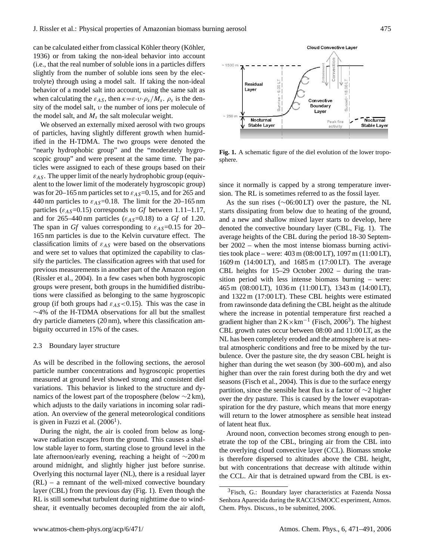can be calculated either from classical Köhler theory (Köhler, 1936) or from taking the non-ideal behavior into account (i.e., that the real number of soluble ions in a particles differs slightly from the number of soluble ions seen by the electrolyte) through using a model salt. If taking the non-ideal behavior of a model salt into account, using the same salt as when calculating the  $\varepsilon_{AS}$ , then  $\kappa = \varepsilon \cdot v \cdot \rho_s / M_s$ .  $\rho_s$  is the density of the model salt,  $\nu$  the number of ions per molecule of the model salt, and  $M_s$  the salt molecular weight.

We observed an externally mixed aerosol with two groups of particles, having slightly different growth when humidified in the H-TDMA. The two groups were denoted the "nearly hydrophobic group" and the "moderately hygroscopic group" and were present at the same time. The particles were assigned to each of these groups based on their  $\varepsilon_{AS}$ . The upper limit of the nearly hydrophobic group (equivalent to the lower limit of the moderately hygroscopic group) was for 20–165 nm particles set to  $\varepsilon_{AS}$ =0.15, and for 265 and 440 nm particles to  $\varepsilon_{AS}$ =0.18. The limit for the 20–165 nm particles ( $\varepsilon_{AS}$ =0.15) corresponds to *Gf* between 1.11–1.17, and for 265–440 nm particles ( $\varepsilon_{AS}$ =0.18) to a *Gf* of 1.20. The span in *Gf* values corresponding to  $\varepsilon_{AS}$ =0.15 for 20– 165 nm particles is due to the Kelvin curvature effect. The classification limits of  $\varepsilon_{AS}$  were based on the observations and were set to values that optimized the capability to classify the particles. The classification agrees with that used for previous measurements in another part of the Amazon region (Rissler et al., 2004). In a few cases when both hygroscopic groups were present, both groups in the humidified distributions were classified as belonging to the same hygroscopic group (if both groups had  $\varepsilon_{AS}$  < 0.15). This was the case in ∼4% of the H-TDMA observations for all but the smallest dry particle diameters (20 nm), where this classification ambiguity occurred in 15% of the cases.

#### 2.3 Boundary layer structure

As will be described in the following sections, the aerosol particle number concentrations and hygroscopic properties measured at ground level showed strong and consistent diel variations. This behavior is linked to the structure and dynamics of the lowest part of the troposphere (below  $\sim$ 2 km), which adjusts to the daily variations in incoming solar radiation. An overview of the general meteorological conditions is given in Fuzzi et al.  $(2006<sup>1</sup>)$ .

During the night, the air is cooled from below as longwave radiation escapes from the ground. This causes a shallow stable layer to form, starting close to ground level in the late afternoon/early evening, reaching a height of ∼200 m around midnight, and slightly higher just before sunrise. Overlying this nocturnal layer (NL), there is a residual layer (RL) – a remnant of the well-mixed convective boundary layer (CBL) from the previous day (Fig. 1). Even though the RL is still somewhat turbulent during nighttime due to windshear, it eventually becomes decoupled from the air aloft,



**Fig. 1.** A schematic figure of the diel evolution of the lower troposphere.

since it normally is capped by a strong temperature inversion. The RL is sometimes referred to as the fossil layer.

As the sun rises (∼06:00 LT) over the pasture, the NL starts dissipating from below due to heating of the ground, and a new and shallow mixed layer starts to develop, here denoted the convective boundary layer (CBL, Fig. 1). The average heights of the CBL during the period 18-30 September 2002 – when the most intense biomass burning activities took place – were: 403 m (08:00 LT), 1097 m (11:00 LT), 1609 m (14:00 LT), and 1685 m (17:00 LT). The average CBL heights for 15–29 October 2002 – during the transition period with less intense biomass burning – were: 465 m (08:00 LT), 1036 m (11:00 LT), 1343 m (14:00 LT), and 1322 m (17:00 LT). These CBL heights were estimated from rawinsonde data defining the CBL height as the altitude where the increase in potential temperature first reached a gradient higher than  $2 \text{ K} \times \text{km}^{-1}$  (Fisch, 2006<sup>[3](#page-4-0)</sup>). The highest CBL growth rates occur between 08:00 and 11:00 LT, as the NL has been completely eroded and the atmosphere is at neutral atmospheric conditions and free to be mixed by the turbulence. Over the pasture site, the dry season CBL height is higher than during the wet season (by 300–600 m), and also higher than over the rain forest during both the dry and wet seasons (Fisch et al., 2004). This is due to the surface energy partition, since the sensible heat flux is a factor of ∼2 higher over the dry pasture. This is caused by the lower evapotranspiration for the dry pasture, which means that more energy will return to the lower atmosphere as sensible heat instead of latent heat flux.

Around noon, convection becomes strong enough to penetrate the top of the CBL, bringing air from the CBL into the overlying cloud convective layer (CCL). Biomass smoke is therefore dispersed to altitudes above the CBL height, but with concentrations that decrease with altitude within the CCL. Air that is detrained upward from the CBL is ex-

<span id="page-4-0"></span><sup>3</sup>Fisch, G.: Boundary layer characteristics at Fazenda Nossa Senhora Aparecida during the RACCI/SMOCC experiment, Atmos. Chem. Phys. Discuss., to be submitted, 2006.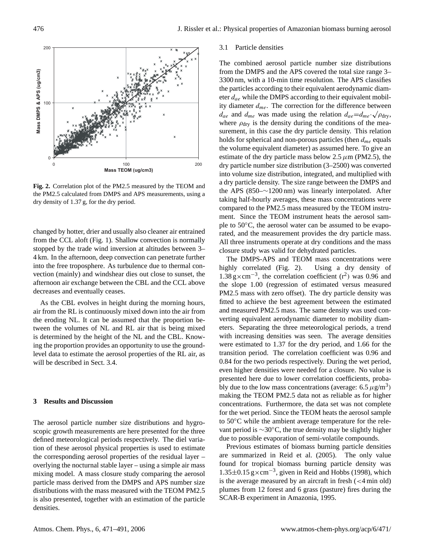

**Fig. 2.** Correlation plot of the PM2.5 measured by the TEOM and the PM2.5 calculated from DMPS and APS measurements, using a dry density of 1.37 g, for the dry period.

changed by hotter, drier and usually also cleaner air entrained from the CCL aloft (Fig. 1). Shallow convection is normally stopped by the trade wind inversion at altitudes between 3– 4 km. In the afternoon, deep convection can penetrate further into the free troposphere. As turbulence due to thermal convection (mainly) and windshear dies out close to sunset, the afternoon air exchange between the CBL and the CCL above decreases and eventually ceases.

As the CBL evolves in height during the morning hours, air from the RL is continuously mixed down into the air from the eroding NL. It can be assumed that the proportion between the volumes of NL and RL air that is being mixed is determined by the height of the NL and the CBL. Knowing the proportion provides an opportunity to use the groundlevel data to estimate the aerosol properties of the RL air, as will be described in Sect. 3.4.

# **3 Results and Discussion**

The aerosol particle number size distributions and hygroscopic growth measurements are here presented for the three defined meteorological periods respectively. The diel variation of these aerosol physical properties is used to estimate the corresponding aerosol properties of the residual layer – overlying the nocturnal stable layer – using a simple air mass mixing model. A mass closure study comparing the aerosol particle mass derived from the DMPS and APS number size distributions with the mass measured with the TEOM PM2.5 is also presented, together with an estimation of the particle densities.

### 3.1 Particle densities

The combined aerosol particle number size distributions from the DMPS and the APS covered the total size range 3– 3300 nm, with a 10-min time resolution. The APS classifies the particles according to their equivalent aerodynamic diameter  $d_{ae}$  while the DMPS according to their equivalent mobility diameter  $d_{me}$ . The correction for the difference between  $d_{ae}$  and  $d_{me}$  was made using the relation  $d_{ae} = d_{me} \cdot \sqrt{\rho_{\text{dry}}}$ , where  $\rho_{\text{dry}}$  is the density during the conditions of the measurement, in this case the dry particle density. This relation holds for spherical and non-porous particles (then  $d_{me}$  equals the volume equivalent diameter) as assumed here. To give an estimate of the dry particle mass below 2.5  $\mu$ m (PM2.5), the dry particle number size distribution (3–2500) was converted into volume size distribution, integrated, and multiplied with a dry particle density. The size range between the DMPS and the APS (850–∼1200 nm) was linearly interpolated. After taking half-hourly averages, these mass concentrations were compared to the PM2.5 mass measured by the TEOM instrument. Since the TEOM instrument heats the aerosol sample to 50<sup>°</sup>C, the aerosol water can be assumed to be evaporated, and the measurement provides the dry particle mass. All three instruments operate at dry conditions and the mass closure study was valid for dehydrated particles.

The DMPS-APS and TEOM mass concentrations were highly correlated (Fig. 2). Using a dry density of 1.38 g×cm<sup>-3</sup>, the correlation coefficient  $(r^2)$  was 0.96 and the slope 1.00 (regression of estimated versus measured PM2.5 mass with zero offset). The dry particle density was fitted to achieve the best agreement between the estimated and measured PM2.5 mass. The same density was used converting equivalent aerodynamic diameter to mobility diameters. Separating the three meteorological periods, a trend with increasing densities was seen. The average densities were estimated to 1.37 for the dry period, and 1.66 for the transition period. The correlation coefficient was 0.96 and 0.84 for the two periods respectively. During the wet period, even higher densities were needed for a closure. No value is presented here due to lower correlation coefficients, probably due to the low mass concentrations (average:  $6.5 \,\mu g/m^3$ ) making the TEOM PM2.5 data not as reliable as for higher concentrations. Furthermore, the data set was not complete for the wet period. Since the TEOM heats the aerosol sample to 50◦C while the ambient average temperature for the relevant period is ∼30◦C, the true density may be slightly higher due to possible evaporation of semi-volatile compounds.

Previous estimates of biomass burning particle densities are summarized in Reid et al. (2005). The only value found for tropical biomass burning particle density was 1.35±0.15 g×cm−<sup>3</sup> , given in Reid and Hobbs (1998), which is the average measured by an aircraft in fresh  $\left($  < 4 min old) plumes from 12 forest and 6 grass (pasture) fires during the SCAR-B experiment in Amazonia, 1995.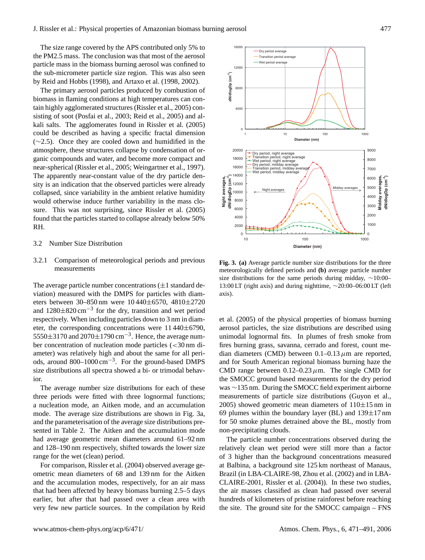The size range covered by the APS contributed only 5% to the PM2.5 mass. The conclusion was that most of the aerosol particle mass in the biomass burning aerosol was confined to the sub-micrometer particle size region. This was also seen by Reid and Hobbs (1998), and Artaxo et al. (1998, 2002).

The primary aerosol particles produced by combustion of biomass in flaming conditions at high temperatures can contain highly agglomerated structures (Rissler et al., 2005) consisting of soot (Posfai et al., 2003; Reid et al., 2005) and alkali salts. The agglomerates found in Rissler et al. (2005) could be described as having a specific fractal dimension (∼2.5). Once they are cooled down and humidified in the atmosphere, these structures collapse by condensation of organic compounds and water, and become more compact and near-spherical (Rissler et al., 2005; Weingartner et al., 1997). The apparently near-constant value of the dry particle density is an indication that the observed particles were already collapsed, since variability in the ambient relative humidity would otherwise induce further variability in the mass closure. This was not surprising, since Rissler et al. (2005) found that the particles started to collapse already below 50% RH.

#### 3.2 Number Size Distribution

3.2.1 Comparison of meteorological periods and previous measurements

The average particle number concentrations  $(\pm 1)$  standard deviation) measured with the DMPS for particles with diameters between 30–850 nm were 10 440±6570, 4810±2720 and  $1280 \pm 820$  cm<sup>-3</sup> for the dry, transition and wet period respectively. When including particles down to 3 nm in diameter, the corresponding concentrations were 11 440±6790, 5550±3170 and 2070±1790 cm−<sup>3</sup> . Hence, the average number concentration of nucleation mode particles (<30 nm diameter) was relatively high and about the same for all periods, around 800–1000 cm−<sup>3</sup> . For the ground-based DMPS size distributions all spectra showed a bi- or trimodal behavior.

The average number size distributions for each of these three periods were fitted with three lognormal functions; a nucleation mode, an Aitken mode, and an accumulation mode. The average size distributions are shown in Fig. 3a, and the parameterisation of the average size distributions presented in Table 2. The Aitken and the accumulation mode had average geometric mean diameters around 61–92 nm and 128–190 nm respectively, shifted towards the lower size range for the wet (clean) period.

For comparison, Rissler et al. (2004) observed average geometric mean diameters of 68 and 139 nm for the Aitken and the accumulation modes, respectively, for an air mass that had been affected by heavy biomass burning 2.5–5 days earlier, but after that had passed over a clean area with very few new particle sources. In the compilation by Reid



**Fig. 3. (a)** Average particle number size distributions for the three meteorologically defined periods and **(b)** average particle number size distributions for the same periods during midday, ~10:00– 13:00 LT (right axis) and during nighttime, ∼20:00–06:00 LT (left axis).

et al. (2005) of the physical properties of biomass burning aerosol particles, the size distributions are described using unimodal lognormal fits. In plumes of fresh smoke from fires burning grass, savanna, cerrado and forest, count median diameters (CMD) between  $0.1-0.13 \mu m$  are reported, and for South American regional biomass burning haze the CMD range between  $0.12-0.23 \mu$ m. The single CMD for the SMOCC ground based measurements for the dry period was ∼135 nm. During the SMOCC field experiment airborne measurements of particle size distributions (Guyon et al., 2005) showed geometric mean diameters of  $110\pm15$  nm in 69 plumes within the boundary layer (BL) and  $139 \pm 17$  nm for 50 smoke plumes detrained above the BL, mostly from non-precipitating clouds.

The particle number concentrations observed during the relatively clean wet period were still more than a factor of 3 higher than the background concentrations measured at Balbina, a background site 125 km northeast of Manaus, Brazil (in LBA-CLAIRE-98, Zhou et al. (2002) and in LBA-CLAIRE-2001, Rissler et al. (2004)). In these two studies, the air masses classified as clean had passed over several hundreds of kilometers of pristine rainforest before reaching the site. The ground site for the SMOCC campaign – FNS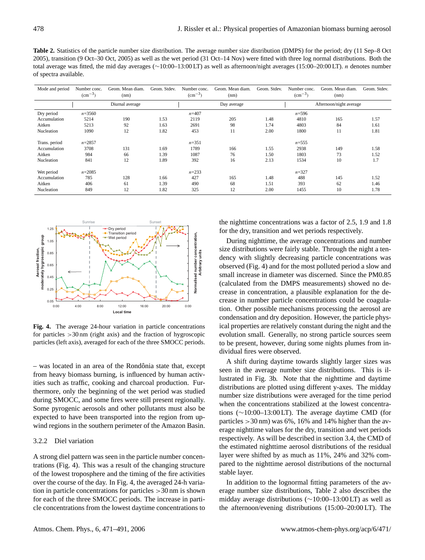**Table 2.** Statistics of the particle number size distribution. The average number size distribution (DMPS) for the period; dry (11 Sep–8 Oct 2005), transition (9 Oct–30 Oct, 2005) as well as the wet period (31 Oct–14 Nov) were fitted with three log normal distributions. Both the total average was fitted, the mid day averages (∼10:00–13:00 LT) as well as afternoon/night averages (15:00–20:00 LT). n denotes number of spectra available.

| Mode and period | Number conc.<br>$\rm (cm^{-3})$ | Geom. Mean diam.<br>(nm) | Geom. Stdev. | Number conc.<br>$\rm (cm^{-3})$ | Geom. Mean diam.<br>(nm) | Geom. Stdev. | Number conc.<br>$\rm (cm^{-3})$ | Geom. Mean diam.<br>(nm) | Geom. Stdev. |
|-----------------|---------------------------------|--------------------------|--------------|---------------------------------|--------------------------|--------------|---------------------------------|--------------------------|--------------|
|                 |                                 | Diurnal average          |              |                                 | Day average              |              |                                 | Afternoon/night average  |              |
| Dry period      | $n = 3560$                      |                          |              | $n = 407$                       |                          |              | $n = 596$                       |                          |              |
| Accumulation    | 5214                            | 190                      | 1.53         | 2119                            | 205                      | 1.48         | 4810                            | 165                      | 1.57         |
| Aitken          | 5213                            | 92                       | 1.63         | 2691                            | 98                       | 1.74         | 4803                            | 84                       | 1.61         |
| Nucleation      | 1090                            | 12                       | 1.82         | 453                             | 11                       | 2.00         | 1800                            | 11                       | 1.81         |
| Trans. period   | $n = 2857$                      |                          |              | $n = 351$                       |                          |              | $n = 555$                       |                          |              |
| Accumulation    | 3708                            | 131                      | 1.69         | 1789                            | 166                      | 1.55         | 2938                            | 149                      | 1.58         |
| Aitken          | 984                             | 66                       | 1.39         | 1087                            | 76                       | 1.50         | 1803                            | 73                       | 1.52         |
| Nucleation      | 841                             | 12                       | 1.89         | 392                             | 16                       | 2.13         | 1534                            | 10                       | 1.7          |
| Wet period      | $n = 2085$                      |                          |              | $n = 233$                       |                          |              | $n = 327$                       |                          |              |
| Accumulation    | 785                             | 128                      | 1.66         | 427                             | 165                      | 1.48         | 488                             | 145                      | 1.52         |
| Aitken          | 406                             | 61                       | 1.39         | 490                             | 68                       | 1.51         | 393                             | 62                       | 1.46         |
| Nucleation      | 849                             | 12                       | 1.82         | 325                             | 12                       | 2.00         | 1455                            | 10                       | 1.78         |



**Fig. 4.** The average 24-hour variation in particle concentrations for particles  $>30 \text{ nm}$  (right axis) and the fraction of hygroscopic particles (left axis), averaged for each of the three SMOCC periods.

 $-$  was located in an area of the Rondônia state that, except from heavy biomass burning, is influenced by human activities such as traffic, cooking and charcoal production. Furthermore, only the beginning of the wet period was studied during SMOCC, and some fires were still present regionally. Some pyrogenic aerosols and other pollutants must also be expected to have been transported into the region from upwind regions in the southern perimeter of the Amazon Basin.

# 3.2.2 Diel variation

A strong diel pattern was seen in the particle number concentrations (Fig. 4). This was a result of the changing structure of the lowest troposphere and the timing of the fire activities over the course of the day. In Fig. 4, the averaged 24-h variation in particle concentrations for particles >30 nm is shown for each of the three SMOCC periods. The increase in particle concentrations from the lowest daytime concentrations to the nighttime concentrations was a factor of 2.5, 1.9 and 1.8 for the dry, transition and wet periods respectively.

During nighttime, the average concentrations and number size distributions were fairly stable. Through the night a tendency with slightly decreasing particle concentrations was observed (Fig. 4) and for the most polluted period a slow and small increase in diameter was discerned. Since the PM0.85 (calculated from the DMPS measurements) showed no decrease in concentration, a plausible explanation for the decrease in number particle concentrations could be coagulation. Other possible mechanisms processing the aerosol are condensation and dry deposition. However, the particle physical properties are relatively constant during the night and the evolution small. Generally, no strong particle sources seem to be present, however, during some nights plumes from individual fires were observed.

A shift during daytime towards slightly larger sizes was seen in the average number size distributions. This is illustrated in Fig. 3b. Note that the nighttime and daytime distributions are plotted using different y-axes. The midday number size distributions were averaged for the time period when the concentrations stabilized at the lowest concentrations (∼10:00–13:00 LT). The average daytime CMD (for particles  $>$  30 nm) was 6%, 16% and 14% higher than the average nighttime values for the dry, transition and wet periods respectively. As will be described in section 3.4, the CMD of the estimated nighttime aerosol distributions of the residual layer were shifted by as much as 11%, 24% and 32% compared to the nighttime aerosol distributions of the nocturnal stable layer.

In addition to the lognormal fitting parameters of the average number size distributions, Table 2 also describes the midday average distributions (∼10:00–13:00 LT) as well as the afternoon/evening distributions (15:00–20:00 LT). The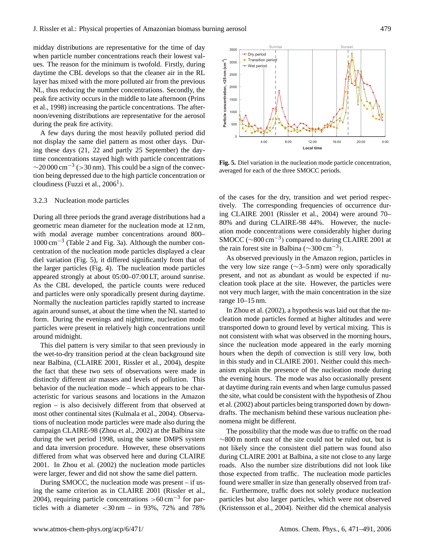midday distributions are representative for the time of day when particle number concentrations reach their lowest values. The reason for the minimum is twofold. Firstly, during daytime the CBL develops so that the cleaner air in the RL layer has mixed with the more polluted air from the previous NL, thus reducing the number concentrations. Secondly, the peak fire activity occurs in the middle to late afternoon (Prins et al., 1998) increasing the particle concentrations. The afternoon/evening distributions are representative for the aerosol during the peak fire activity.

A few days during the most heavily polluted period did not display the same diel pattern as most other days. During these days (21, 22 and partly 25 September) the daytime concentrations stayed high with particle concentrations  $\sim$ 20 000 cm<sup>-3</sup> (> 30 nm). This could be a sign of the convection being depressed due to the high particle concentration or cloudiness (Fuzzi et al.,  $2006<sup>1</sup>$ ).

# 3.2.3 Nucleation mode particles

During all three periods the grand average distributions had a geometric mean diameter for the nucleation mode at 12 nm, with modal average number concentrations around 800– 1000 cm−<sup>3</sup> (Table 2 and Fig. 3a). Although the number concentration of the nucleation mode particles displayed a clear diel variation (Fig. 5), it differed significantly from that of the larger particles (Fig. 4). The nucleation mode particles appeared strongly at about 05:00–07:00 LT, around sunrise. As the CBL developed, the particle counts were reduced and particles were only sporadically present during daytime. Normally the nucleation particles rapidly started to increase again around sunset, at about the time when the NL started to form. During the evenings and nighttime, nucleation mode particles were present in relatively high concentrations until around midnight.

This diel pattern is very similar to that seen previously in the wet-to-dry transition period at the clean background site near Balbina, (CLAIRE 2001, Rissler et al., 2004), despite the fact that these two sets of observations were made in distinctly different air masses and levels of pollution. This behavior of the nucleation mode – which appears to be characteristic for various seasons and locations in the Amazon region – is also decisively different from that observed at most other continental sites (Kulmala et al., 2004). Observations of nucleation mode particles were made also during the campaign CLAIRE-98 (Zhou et al., 2002) at the Balbina site during the wet period 1998, using the same DMPS system and data inversion procedure. However, these observations differed from what was observed here and during CLAIRE 2001. In Zhou et al. (2002) the nucleation mode particles were larger, fewer and did not show the same diel pattern. not display the same diel pattern as most other days. During these days (21, 22 and partit) 25 September) the day-<br>time concentrations stayed high with particle concentrations<br>
" $\sim$ 20000 cm<sup>-3</sup> ( $\sim$ 30 nm 2. This could b

During SMOCC, the nucleation mode was present – if using the same criterion as in CLAIRE 2001 (Rissler et al., 2004), requiring particle concentrations >60 cm<sup>-3</sup> for par-



**Fig. 5.** Diel variation in the nucleation mode particle concentration, averaged for each of the three SMOCC periods.

of the cases for the dry, transition and wet period respectively. The corresponding frequencies of occurrence during CLAIRE 2001 (Rissler et al., 2004) were around 70– 80% and during CLAIRE-98 44%. However, the nucleation mode concentrations were considerably higher during SMOCC (~800 cm<sup>-3</sup>) compared to during CLAIRE 2001 at the rain forest site in Balbina ( $\sim$ 300 cm<sup>-3</sup>).

As observed previously in the Amazon region, particles in the very low size range (∼3–5 nm) were only sporadically present, and not as abundant as would be expected if nucleation took place at the site. However, the particles were not very much larger, with the main concentration in the size range 10–15 nm.

In Zhou et al. (2002), a hypothesis was laid out that the nucleation mode particles formed at higher altitudes and were transported down to ground level by vertical mixing. This is not consistent with what was observed in the morning hours, since the nucleation mode appeared in the early morning hours when the depth of convection is still very low, both in this study and in CLAIRE 2001. Neither could this mechanism explain the presence of the nucleation mode during the evening hours. The mode was also occasionally present at daytime during rain events and when large cumulus passed the site, what could be consistent with the hypothesis of Zhou et al. (2002) about particles being transported down by downdrafts. The mechanism behind these various nucleation phenomena might be different.

The possibility that the mode was due to traffic on the road ∼800 m north east of the site could not be ruled out, but is not likely since the consistent diel pattern was found also during CLAIRE 2001 at Balbina, a site not close to any large roads. Also the number size distributions did not look like those expected from traffic. The nucleation mode particles found were smaller in size than generally observed from traffic. Furthermore, traffic does not solely produce nucleation particles but also larger particles, which were not observed (Kristensson et al., 2004). Neither did the chemical analysis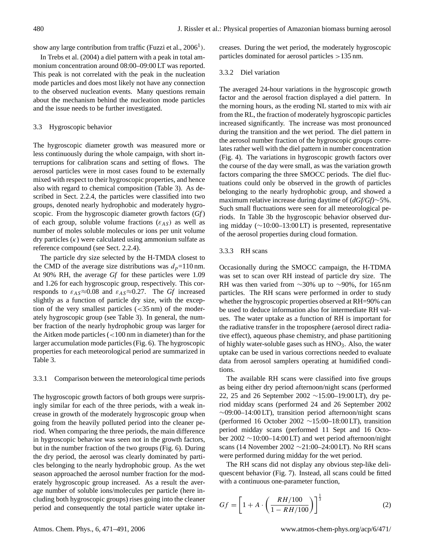show any large contribution from traffic (Fuzzi et al.,  $2006<sup>1</sup>$ ).

In Trebs et al. (2004) a diel pattern with a peak in total ammonium concentration around 08:00–09:00 LT was reported. This peak is not correlated with the peak in the nucleation mode particles and does most likely not have any connection to the observed nucleation events. Many questions remain about the mechanism behind the nucleation mode particles and the issue needs to be further investigated.

# 3.3 Hygroscopic behavior

The hygroscopic diameter growth was measured more or less continuously during the whole campaign, with short interruptions for calibration scans and setting of flows. The aerosol particles were in most cases found to be externally mixed with respect to their hygroscopic properties, and hence also with regard to chemical composition (Table 3). As described in Sect. 2.2.4, the particles were classified into two groups, denoted nearly hydrophobic and moderately hygroscopic. From the hygroscopic diameter growth factors (*Gf*) of each group, soluble volume fractions ( $\varepsilon_{AS}$ ) as well as number of moles soluble molecules or ions per unit volume dry particles  $(\kappa)$  were calculated using ammonium sulfate as reference compound (see Sect. 2.2.4).

The particle dry size selected by the H-TMDA closest to the CMD of the average size distributions was  $d<sub>p</sub>=110$  nm. At 90% RH, the average *Gf* for these particles were 1.09 and 1.26 for each hygroscopic group, respectively. This corresponds to  $\varepsilon_{AS} \approx 0.08$  and  $\varepsilon_{AS} \approx 0.27$ . The *Gf* increased slightly as a function of particle dry size, with the exception of the very smallest particles (<35 nm) of the moderately hygroscopic group (see Table 3). In general, the number fraction of the nearly hydrophobic group was larger for the Aitken mode particles (<100 nm in diameter) than for the larger accumulation mode particles (Fig. 6). The hygroscopic properties for each meteorological period are summarized in Table 3.

#### 3.3.1 Comparison between the meteorological time periods

The hygroscopic growth factors of both groups were surprisingly similar for each of the three periods, with a weak increase in growth of the moderately hygroscopic group when going from the heavily polluted period into the cleaner period. When comparing the three periods, the main difference in hygroscopic behavior was seen not in the growth factors, but in the number fraction of the two groups (Fig. 6). During the dry period, the aerosol was clearly dominated by particles belonging to the nearly hydrophobic group. As the wet season approached the aerosol number fraction for the moderately hygroscopic group increased. As a result the average number of soluble ions/molecules per particle (here including both hygroscopic groups) rises going into the cleaner period and consequently the total particle water uptake increases. During the wet period, the moderately hygroscopic particles dominated for aerosol particles >135 nm.

## 3.3.2 Diel variation

The averaged 24-hour variations in the hygroscopic growth factor and the aerosol fraction displayed a diel pattern. In the morning hours, as the eroding NL started to mix with air from the RL, the fraction of moderately hygroscopic particles increased significantly. The increase was most pronounced during the transition and the wet period. The diel pattern in the aerosol number fraction of the hygroscopic groups correlates rather well with the diel pattern in number concentration (Fig. 4). The variations in hygroscopic growth factors over the course of the day were small, as was the variation growth factors comparing the three SMOCC periods. The diel fluctuations could only be observed in the growth of particles belonging to the nearly hydrophobic group, and showed a maximum relative increase during daytime of (*dGf/Gf)*∼5%. Such small fluctuations were seen for all meteorological periods. In Table 3b the hygroscopic behavior observed during midday (∼10:00–13:00 LT) is presented, representative of the aerosol properties during cloud formation.

## 3.3.3 RH scans

Occasionally during the SMOCC campaign, the H-TDMA was set to scan over RH instead of particle dry size. The RH was then varied from ∼30% up to ∼90%, for 165 nm particles. The RH scans were performed in order to study whether the hygroscopic properties observed at RH=90% can be used to deduce information also for intermediate RH values. The water uptake as a function of RH is important for the radiative transfer in the troposphere (aerosol direct radiative effect), aqueous phase chemistry, and phase partitioning of highly water-soluble gases such as HNO<sub>3</sub>. Also, the water uptake can be used in various corrections needed to evaluate data from aerosol samplers operating at humidified conditions.

The available RH scans were classified into five groups as being either dry period afternoon/night scans (performed 22, 25 and 26 September 2002 ∼15:00–19:00 LT), dry period midday scans (performed 24 and 26 September 2002 ∼09:00–14:00 LT), transition period afternoon/night scans (performed 16 October 2002 ∼15:00–18:00 LT), transition period midday scans (performed 11 Sept and 16 October 2002 ∼10:00–14:00 LT) and wet period afternoon/night scans (14 November 2002 ∼21:00–24:00 LT). No RH scans were performed during midday for the wet period.

The RH scans did not display any obvious step-like deliquescent behavior (Fig. 7). Instead, all scans could be fitted with a continuous one-parameter function,

$$
Gf = \left[1 + A \cdot \left(\frac{RH/100}{1 - RH/100}\right)\right]^{\frac{1}{3}}
$$
 (2)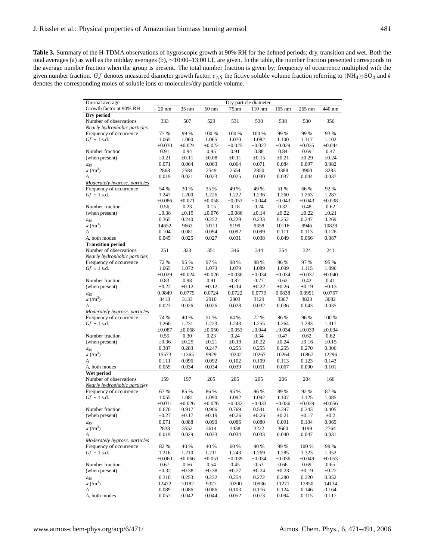| Diurnal average                                          | Dry particle diameter |             |                 |             |             |             |             |             |
|----------------------------------------------------------|-----------------------|-------------|-----------------|-------------|-------------|-------------|-------------|-------------|
| Growth factor at 90% RH                                  | $20 \text{ nm}$       | 35 nm       | $50 \text{ nm}$ | 75nm        | 110 nm      | 165 nm      | 265 nm      | 440 nm      |
| Dry period                                               |                       |             |                 |             |             |             |             |             |
| Number of observations                                   | 333                   | 507         | 529             | 531         | 530         | 538         | 530         | 356         |
| Nearly hydrophobic particles                             |                       |             |                 |             |             |             |             |             |
| Frequency of occurrence                                  | 77 %                  | 99 %        | 100 %           | 100 %       | 100 %       | 99 %        | 99 %        | 93 %        |
| $Gf \pm 1$ s.d.                                          | 1.065                 | 1.060       | 1.065           | 1.070       | 1.082       | 1.100       | 1.117       | 1.102       |
|                                                          | $\pm 0.030$           | $\pm 0.024$ | ±0.022          | ±0.025      | $\pm 0.027$ | $\pm 0.029$ | ±0.035      | $\pm 0.044$ |
| Number fraction                                          | 0.91                  | 0.94        | 0.95            | 0.91        | 0.88        | 0.84        | 0.69        | 0.47        |
| (when present)                                           | $\pm 0.21$            | $\pm 0.11$  | $\pm 0.08$      | $\pm 0.11$  | $\pm 0.15$  | $\pm 0.21$  | $\pm 0.29$  | $\pm 0.24$  |
| $\varepsilon_{AS}$                                       | 0.071                 | 0.064       | 0.063           | 0.064       | 0.071       | 0.084       | 0.097       | 0.082       |
| $\kappa$ (/m <sup>3</sup> )                              | 2868                  | 2584        | 2549            | 2554        | 2850        | 3388        | 3900        | 3283        |
| A                                                        | 0.019                 | 0.021       | 0.023           | 0.025       | 0.030       | 0.037       | 0.044       | 0.037       |
| Moderately hygrosc. particles                            |                       |             |                 |             |             |             |             |             |
| Frequency of occurrence                                  | 54 %                  | 30 %        | 35 %            | 49 %        | 49 %        | 51 %        | 66 %        | 92 %        |
| $Gf \pm 1$ s.d.                                          | 1.247                 | 1.200       | 1.226           | 1.222       | 1.236       | 1.260       | 1.263       | 1.287       |
|                                                          | $\pm 0.086$           | $\pm 0.071$ | ±0.058          | $\pm 0.053$ | ±0.044      | ±0.043      | ±0.043      | $\pm 0.038$ |
| Number fraction                                          | 0.56                  | 0.23        | 0.15            | 0.18        | 0.24        | 0.32        | 0.48        | 0.62        |
|                                                          |                       | $\pm 0.19$  | ±0.076          | $\pm 0.086$ | $\pm 0.14$  | $\pm 0.22$  | $\pm 0.22$  | $\pm 0.21$  |
| (when present)                                           | $\pm 0.38$            |             |                 |             |             |             |             |             |
| $\mathcal{E}_{AS}$                                       | 0.365                 | 0.240       | 0.252           | 0.229       | 0.233       | 0.252       | 0.247       | 0.269       |
| $\kappa$ (/m <sup>3</sup> )                              | 14652                 | 9663        | 10111           | 9199        | 9358        | 10118       | 9946        | 10828       |
| A                                                        | 0.104                 | 0.081       | 0.094           | 0.092       | 0.099       | 0.111       | 0.113       | 0.126       |
| A, both modes                                            | 0.045                 | 0.025       | 0.027           | 0.031       | 0.038       | 0.049       | 0.066       | 0.087       |
| <b>Transition period</b>                                 |                       |             |                 |             |             |             |             |             |
| Number of observations                                   | 251                   | 323         | 351             | 346         | 344         | 354         | 324         | 241         |
| Nearly hydrophobic particles                             |                       |             |                 |             |             |             |             |             |
| Frequency of occurrence                                  | 72 %                  | 95 %        | 97 %            | 98 %        | 98 %        | 96 %        | 97 %        | 95 %        |
| $Gf \pm 1$ s.d.                                          | 1.065                 | 1.072       | 1.073           | 1.079       | 1.089       | 1.099       | 1.115       | 1.096       |
|                                                          | $\pm 0.029$           | $\pm 0.024$ | ±0.026          | $\pm 0.030$ | ±0.034      | $\pm 0.034$ | $\pm 0.037$ | $\pm 0.040$ |
| Number fraction                                          | 0.83                  | 0.93        | 0.91            | 0.87        | 0.77        | 0.62        | 0.42        | 0.41        |
| (when present)                                           | $\pm 0.22$            | $\pm 0.12$  | $\pm 0.12$      | $\pm 0.14$  | $\pm 0.22$  | $\pm 0.26$  | $\pm 0.19$  | $\pm 0.13$  |
| $\mathcal{E}_{AS}$                                       | 0.0849                | 0.0779      | 0.0724          | 0.0722      | 0.0779      | 0.0838      | 0.0951      | 0.0767      |
| $\kappa$ (/m <sup>3</sup> )                              | 3413                  | 3133        | 2910            | 2903        | 3129        | 3367        | 3823        | 3082        |
| А                                                        | 0.023                 | 0.026       | 0.026           | 0.028       | 0.032       | 0.036       | 0.043       | 0.035       |
| Moderately hygrosc. particles                            |                       |             |                 |             |             |             |             |             |
| Frequency of occurrence                                  | 74 %                  | 40 %        | 51 %            | 64 %        | 72 %        | 86 %        | 96 %        | 100 %       |
| $Gf \pm 1$ s.d.                                          | 1.260                 | 1.231       | 1.223           | 1.243       | 1.255       | 1.264       | 1.283       | 1.317       |
|                                                          | $\pm 0.087$           | $\pm 0.068$ | $\pm 0.050$     | $\pm 0.053$ | $\pm 0.044$ | $\pm 0.034$ | $\pm 0.039$ | $\pm 0.034$ |
| Number fraction                                          | 0.55                  | 0.30        | 0.23            | 0.24        | 0.34        | 0.47        | 0.62        | 0.62        |
| (when present)                                           | $\pm 0.36$            | $\pm 0.29$  | $\pm 0.21$      | $\pm 0.19$  | $\pm 0.22$  | $\pm 0.24$  | $\pm 0.16$  | $\pm 0.15$  |
| $\mathcal{E}_{AS}$                                       | 0.387                 | 0.283       | 0.247           | 0.255       | 0.255       | 0.255       | 0.270       | 0.306       |
| $\kappa$ (/m <sup>3</sup> )                              | 15573                 | 11365       | 9929            | 10242       | 10267       | 10264       | 10867       | 12296       |
| А                                                        | 0.111                 | 0.096       | 0.092           | 0.102       | 0.109       | 0.113       | 0.123       | 0.143       |
| A, both modes                                            | 0.059                 | 0.034       | 0.034           | 0.039       | 0.051       | 0.067       | 0.090       | 0.101       |
| Wet period                                               |                       |             |                 |             |             |             |             |             |
| Number of observations                                   | 159                   | 197         | 205             | 205         | 205         | 206         | 204         | 166         |
| <b>Nearly hydrophobic particles</b>                      |                       |             |                 |             |             |             |             |             |
| Frequency of occurrence                                  | 67 %                  | 85 %        | 86 %            | 95 %        | 96 %        | 89 %        | 92 %        | 87 %        |
| $Gf \pm 1$ s.d.                                          | 1.055                 | 1.081       | 1.090           | 1.092       | 1.092       | 1.107       | 1.125       | 1.085       |
|                                                          | $\pm 0.031$           | $\pm 0.026$ | ±0.026          | ±0.032      | ±0.033      | $\pm 0.036$ | $\pm 0.039$ | $\pm 0.056$ |
| Number fraction                                          | 0.670                 | 0.917       | 0.906           | 0.769       | 0.541       | 0.397       | 0.343       | 0.405       |
| (when present)                                           | $\pm 0.27$            | $\pm 0.17$  | $\pm 0.19$      | $\pm 0.26$  | $\pm 0.26$  | $\pm 0.21$  | $\pm 0.17$  | $\pm 0.2$   |
|                                                          | 0.071                 | 0.088       | 0.090           | 0.086       | 0.080       | 0.091       | 0.104       | 0.069       |
| $\mathcal{E}_{AS}$<br>$\kappa\,(/\mathrm{m}^3)$          | 2838                  | 3552        | 3614            | 3438        | 3222        | 3660        | 4199        | 2764        |
| A                                                        | 0.019                 | 0.029       |                 | 0.034       |             | 0.040       |             |             |
|                                                          |                       |             | 0.033           |             | 0.033       |             | 0.047       | 0.031       |
| Moderately hygrosc. particles<br>Frequency of occurrence |                       |             |                 |             | 90 %        | 99 %        | 100 %       | 99 %        |
|                                                          | 82 %                  | 40 %        | 40 %            | 60 %        |             |             |             |             |
| $Gf \pm 1$ s.d.                                          | 1.216                 | 1.210       | 1.211           | 1.243       | 1.269       | 1.285       | 1.323       | 1.352       |
|                                                          | $\pm 0.060$           | ±0.066      | ±0.051          | $\pm 0.039$ | $\pm 0.034$ | $\pm 0.036$ | $\pm 0.049$ | $\pm 0.053$ |
| Number fraction                                          | 0.67                  | 0.56        | 0.54            | 0.45        | 0.53        | 0.66        | 0.69        | 0.65        |
| (when present)                                           | $\pm 0.32$            | $\pm 0.38$  | $\pm 0.38$      | $\pm 0.27$  | $\pm 0.24$  | $\pm 0.23$  | $\pm 0.19$  | $\pm 0.22$  |
| $\varepsilon_{AS}$                                       | 0.310                 | 0.253       | 0.232           | 0.254       | 0.272       | 0.280       | 0.320       | 0.352       |
| $\kappa\,(m^3)$                                          | 12472                 | 10182       | 9327            | 10200       | 10936       | 11271       | 12850       | 14134       |
| A                                                        | 0.089                 | 0.086       | 0.086           | 0.103       | 0.116       | 0.124       | 0.146       | 0.164       |
| A, both modes                                            | 0.057                 | 0.042       | 0.044           | 0.052       | 0.073       | 0.094       | 0.115       | 0.117       |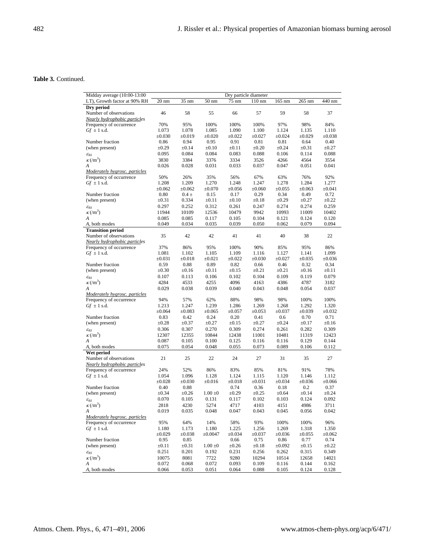# **Table 3.** Continued.

| Midday average (10:00-13:00                                    |                 |             |                 | Dry particle diameter |             |             |             |             |
|----------------------------------------------------------------|-----------------|-------------|-----------------|-----------------------|-------------|-------------|-------------|-------------|
| LT), Growth factor at 90% RH                                   | $20 \text{ nm}$ | 35 nm       | $50 \text{ nm}$ | 75 nm                 | $110$ nm    | 165 nm      | 265 nm      | 440 nm      |
| Dry period                                                     |                 |             |                 |                       |             |             |             |             |
| Number of observations                                         | 46              | 58          | 55              | 66                    | 57          | 59          | 58          | 37          |
| Nearly hydrophobic particles                                   |                 |             |                 |                       |             |             |             |             |
| Frequency of occurrence                                        | 70%             | 95%         | 100%            | 100%                  | 100%        | 97%         | 98%         | 84%         |
| $Gf \pm 1$ s.d.                                                | 1.073           | 1.078       | 1.085           | 1.090                 | 1.100       | 1.124       | 1.135       | 1.110       |
|                                                                | $\pm 0.030$     | $\pm 0.019$ | $\pm 0.020$     | $\pm 0.022$           | $\pm 0.027$ | $\pm 0.024$ | $\pm 0.029$ | $\pm 0.038$ |
| Number fraction                                                | 0.86            | 0.94        | 0.95            | 0.91                  | 0.81        | 0.81        | 0.64        | 0.40        |
| (when present)                                                 | $\pm 0.29$      | $\pm 0.14$  | $\pm 0.10$      | $\pm 0.11$            | $\pm 0.20$  | $\pm 0.24$  | $\pm 0.31$  | $\pm 0.27$  |
| $\mathcal{E}_{AS}$                                             | 0.095           | 0.084       | 0.084           | 0.083                 | 0.088       | 0.106       | 0.114       | 0.088       |
| $\kappa$ (/m <sup>3</sup> )                                    | 3830            | 3384        | 3376            | 3334                  | 3526        | 4266        | 4564        | 3554        |
| A                                                              | 0.026           | 0.028       | 0.031           | 0.033                 | 0.037       | 0.047       | 0.051       | 0.041       |
| Moderately hygrosc, particles                                  |                 |             |                 |                       |             |             |             |             |
| Frequency of occurrence                                        | 50%             | 26%         | 35%             | 56%                   | 67%         | 63%         | 76%         | 92%         |
| $Gf \pm 1$ s.d.                                                | 1.208           | 1.209       | 1.270           | 1.248                 | 1.247       | 1.278       | 1.284       | 1.277       |
|                                                                | $\pm 0.062$     | $\pm 0.062$ | $\pm 0.070$     | ±0.056                | ±0.060      | ±0.055      | $\pm 0.063$ | $\pm 0.041$ |
| Number fraction                                                | 0.80            | $0.4 \pm$   | 0.15            | 0.17                  | 0.29        | 0.34        | 0.49        | 0.72        |
| (when present)                                                 | $\pm 0.31$      | 0.334       | $\pm 0.11$      | $\pm 0.10$            | $\pm 0.18$  | $\pm 0.29$  | $\pm 0.27$  | $\pm 0.22$  |
| $\mathcal{E}_{AS}$                                             | 0.297           | 0.252       | 0.312           | 0.261                 | 0.247       | 0.274       | 0.274       | 0.259       |
| $\kappa$ (/m <sup>3</sup> )                                    | 11944           | 10109       | 12536           | 10479                 | 9942        | 10993       | 11009       | 10402       |
| A                                                              | 0.085           | 0.085       | 0.117           | 0.105                 | 0.104       | 0.121       | 0.124       | 0.120       |
| A, both modes                                                  | 0.049           | 0.034       | 0.035           | 0.039                 | 0.050       | 0.062       | 0.079       | 0.094       |
| <b>Transition period</b><br>Number of observations             | 35              | 42          | 42              | 41                    | 41          | 40          | 38          | 22          |
| Nearly hydrophobic particles                                   |                 |             |                 |                       |             |             |             |             |
| Frequency of occurrence                                        | 37%             | 86%         | 95%             | 100%                  | 90%         | 85%         | 95%         | 86%         |
| $Gf \pm 1$ s.d.                                                | 1.081           | 1.102       | 1.105           | 1.109                 | 1.116       | 1.127       | 1.141       | 1.099       |
|                                                                | $\pm 0.031$     | $\pm 0.018$ | $\pm 0.021$     | $\pm 0.022$           | $\pm 0.030$ | $\pm 0.027$ | $\pm 0.035$ | $\pm 0.036$ |
| Number fraction                                                | 0.59            | 0.88        | 0.89            | 0.82                  | 0.66        | 0.46        | 0.32        | 0.34        |
| (when present)                                                 | $\pm 0.30$      | $\pm 0.16$  | $\pm 0.11$      | $\pm 0.15$            | $\pm 0.21$  | $\pm 0.21$  | $\pm 0.16$  | $\pm 0.11$  |
| $\mathcal{E}_{AS}$                                             | 0.107           | 0.113       | 0.106           | 0.102                 | 0.104       | 0.109       | 0.119       | 0.079       |
| $\kappa$ (/m <sup>3</sup> )                                    | 4284            | 4533        | 4255            | 4096                  | 4163        | 4386        | 4787        | 3182        |
| A                                                              | 0.029           | 0.038       | 0.039           | 0.040                 | 0.043       | 0.048       | 0.054       | 0.037       |
| Moderately hygrosc. particles                                  |                 |             |                 |                       |             |             |             |             |
| Frequency of occurrence                                        | 94%             | 57%         | 62%             | 88%                   | 98%         | 98%         | 100%        | 100%        |
| $Gf \pm 1$ s.d.                                                | 1.213           | 1.247       | 1.239           | 1.286                 | 1.269       | 1.268       | 1.292       | 1.320       |
|                                                                | $\pm 0.064$     | $\pm 0.083$ | $\pm 0.065$     | $\pm 0.057$           | $\pm 0.053$ | $\pm 0.037$ | $\pm 0.039$ | $\pm 0.032$ |
| Number fraction                                                | 0.83            | 0.42        | 0.24            | 0.20                  | 0.41        | 0.6         | 0.70        | 0.71        |
| (when present)                                                 | $\pm 0.28$      | $\pm 0.37$  | $\pm 0.27$      | $\pm 0.15$            | $\pm 0.27$  | $\pm 0.24$  | $\pm 0.17$  | $\pm 0.16$  |
| $\mathcal{E}_{AS}$                                             | 0.306           | 0.307       | 0.270           | 0.309                 | 0.274       | 0.261       | 0.282       | 0.309       |
| $\kappa$ (/m <sup>3</sup> )                                    | 12307           | 12355       | 10844           | 12438                 | 11001       | 10481       | 11319       | 12423       |
| A                                                              | 0.087           | 0.105       | 0.100           | 0.125                 | 0.116       | 0.116       | 0.129       | 0.144       |
| A, both modes                                                  | 0.075           | 0.054       | 0.048           | 0.055                 | 0.073       | 0.089       | 0.106       | 0.112       |
| Wet period                                                     |                 |             |                 |                       |             |             |             |             |
| Number of observations                                         | 21              | 25          | 22              | 24                    | 27          | 31          | 35          | 27          |
| <b>Nearly hydrophobic particles</b><br>Frequency of occurrence | 24%             | 52%         | 86%             | 83%                   | 85%         | 81%         | 91%         | 78%         |
| $Gf \pm 1$ s.d.                                                | 1.054           | 1.096       | 1.128           | 1.124                 | 1.115       | 1.120       | 1.146       | 1.112       |
|                                                                | $\pm 0.028$     | $\pm 0.030$ | $\pm 0.016$     | $\pm 0.018$           | $\pm 0.031$ | ±0.034      | $\pm 0.036$ | $\pm 0.066$ |
| Number fraction                                                | 0.40            | 0.88        |                 | 0.74                  | 0.36        | 0.18        | 0.2         | 0.37        |
| (when present)                                                 | $\pm 0.34$      | $\pm 0.26$  | $1.00 \pm 0$    | $\pm 0.29$            | $\pm 0.25$  | $\pm 0.64$  | $\pm 0.14$  | $\pm 0.24$  |
| $\mathcal{E}_{AS}$                                             | 0.070           | 0.105       | 0.131           | 0.117                 | 0.102       | 0.103       | 0.124       | 0.092       |
| $\kappa$ (/m <sup>3</sup> )                                    | 2818            | 4230        | 5274            | 4717                  | 4103        | 4151        | 4986        | 3711        |
| Α                                                              | 0.019           | 0.035       | 0.048           | 0.047                 | 0.043       | 0.045       | 0.056       | 0.042       |
| Moderately hygrosc. particles                                  |                 |             |                 |                       |             |             |             |             |
| Frequency of occurrence                                        | 95%             | 64%         | 14%             | 58%                   | 93%         | 100%        | 100%        | 96%         |
| $Gf \pm 1$ s.d.                                                | 1.180           | 1.173       | 1.180           | 1.225                 | 1.256       | 1.269       | 1.318       | 1.350       |
|                                                                | $\pm 0.029$     | $\pm 0.038$ | ±0.0047         | $\pm 0.034$           | $\pm 0.037$ | $\pm 0.036$ | $\pm 0.055$ | $\pm 0.062$ |
| Number fraction                                                | 0.95            | 0.85        |                 | 0.66                  | 0.75        | 0.86        | 0.77        | 0.74        |
| (when present)                                                 | $\pm 0.11$      | $\pm 0.31$  | $1.00 \pm 0$    | $\pm 0.26$            | $\pm 0.18$  | $\pm 0.092$ | $\pm 0.15$  | $\pm 0.22$  |
| $\mathcal{E}_{AS}$                                             | 0.251           | 0.201       | 0.192           | 0.231                 | 0.256       | 0.262       | 0.315       | 0.349       |
| $\kappa\,(m^3)$                                                | 10075           | 8081        | 7722            | 9280                  | 10294       | 10514       | 12658       | 14021       |
| A                                                              | 0.072           | 0.068       | 0.072           | 0.093                 | 0.109       | 0.116       | 0.144       | 0.162       |
| A, both modes                                                  | 0.066           | 0.053       | 0.051           | 0.064                 | 0.088       | 0.105       | 0.124       | 0.128       |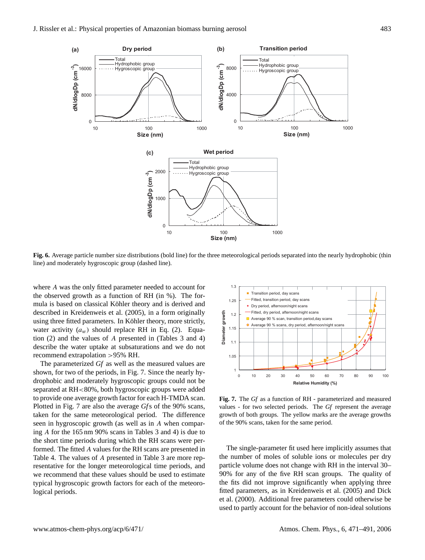

**Fig. 6.** Average particle number size distributions (bold line) for the three meteorological periods separated into the nearly hydrophobic (thin line) and moderately hygroscopic group (dashed line).

where A was the only fitted parameter needed to account for the observed growth as a function of RH (in %). The formula is based on classical Köhler theory and is derived and described in Kreidenweis et al. (2005), in a form originally using three fitted parameters. In Köhler theory, more strictly, water activity  $(a_w)$  should replace RH in Eq. (2). Equation (2) and the values of A presented in (Tables 3 and 4) describe the water uptake at subsaturations and we do not recommend extrapolation >95% RH.

The parameterized *Gf* as well as the measured values are shown, for two of the periods, in Fig. 7. Since the nearly hydrophobic and moderately hygroscopic groups could not be separated at RH<80%, both hygroscopic groups were added to provide one average growth factor for each H-TMDA scan. Plotted in Fig. 7 are also the average *Gf*s of the 90% scans, taken for the same meteorological period. The difference seen in hygroscopic growth (as well as in A when comparing A for the 165 nm 90% scans in Tables 3 and 4) is due to the short time periods during which the RH scans were performed. The fitted A values for the RH scans are presented in Table 4. The values of A presented in Table 3 are more representative for the longer meteorological time periods, and we recommend that these values should be used to estimate typical hygroscopic growth factors for each of the meteorological periods.



**Fig. 7.** The *Gf* as a function of RH - parameterized and measured values - for two selected periods. The *Gf* represent the average growth of both groups. The yellow marks are the average growths of the 90% scans, taken for the same period.

The single-parameter fit used here implicitly assumes that the number of moles of soluble ions or molecules per dry particle volume does not change with RH in the interval 30– 90% for any of the five RH scan groups. The quality of the fits did not improve significantly when applying three fitted parameters, as in Kreidenweis et al. (2005) and Dick et al. (2000). Additional free parameters could otherwise be used to partly account for the behavior of non-ideal solutions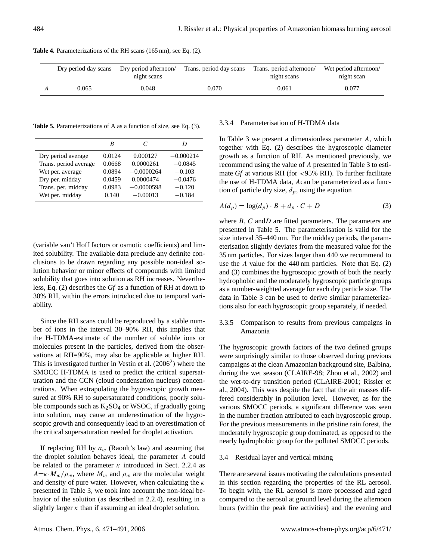| Dry period day scans | Dry period afternoon/<br>night scans | Trans. period day scans | Trans. period afternoon/<br>night scans | Wet period afternoon/<br>night scan |
|----------------------|--------------------------------------|-------------------------|-----------------------------------------|-------------------------------------|
| 0.065                | 0.048                                | 0.070                   | 0.061                                   | 0.077                               |

**Table 4.** Parameterizations of the RH scans (165 nm), see Eq. (2).

**Table 5.** Parameterizations of A as a function of size, see Eq. (3).

|                       | B      | C            |             |
|-----------------------|--------|--------------|-------------|
| Dry period average    | 0.0124 | 0.000127     | $-0.000214$ |
| Trans. period average | 0.0668 | 0.0000261    | $-0.0845$   |
| Wet per. average      | 0.0894 | $-0.0000264$ | $-0.103$    |
| Dry per. midday       | 0.0459 | 0.0000474    | $-0.0476$   |
| Trans. per. midday    | 0.0983 | $-0.0000598$ | $-0.120$    |
| Wet per. midday       | 0.140  | $-0.00013$   | $-0.184$    |
|                       |        |              |             |

(variable van't Hoff factors or osmotic coefficients) and limited solubility. The available data preclude any definite conclusions to be drawn regarding any possible non-ideal solution behavior or minor effects of compounds with limited solubility that goes into solution as RH increases. Nevertheless, Eq. (2) describes the *Gf* as a function of RH at down to 30% RH, within the errors introduced due to temporal variability.

Since the RH scans could be reproduced by a stable number of ions in the interval 30–90% RH, this implies that the H-TDMA-estimate of the number of soluble ions or molecules present in the particles, derived from the observations at RH=90%, may also be applicable at higher RH. This is investigated further in Vestin et al.  $(2006<sup>2</sup>)$  where the SMOCC H-TDMA is used to predict the critical supersaturation and the CCN (cloud condensation nucleus) concentrations. When extrapolating the hygroscopic growth measured at 90% RH to supersaturated conditions, poorly soluble compounds such as  $K_2SO_4$  or WSOC, if gradually going into solution, may cause an underestimation of the hygroscopic growth and consequently lead to an overestimation of the critical supersaturation needed for droplet activation.

If replacing RH by  $a_w$  (Raoult's law) and assuming that the droplet solution behaves ideal, the parameter A could be related to the parameter  $\kappa$  introduced in Sect. 2.2.4 as  $A = \kappa \cdot M_w / \rho_w$ , where  $M_w$  and  $\rho_w$  are the molecular weight and density of pure water. However, when calculating the  $\kappa$ presented in Table 3, we took into account the non-ideal behavior of the solution (as described in 2.2.4), resulting in a slightly larger  $\kappa$  than if assuming an ideal droplet solution.

# 3.3.4 Parameterisation of H-TDMA data

In Table 3 we present a dimensionless parameter A, which together with Eq. (2) describes the hygroscopic diameter growth as a function of RH. As mentioned previously, we recommend using the value of A presented in Table 3 to estimate *Gf* at various RH (for <95% RH). To further facilitate the use of H-TDMA data, Acan be parameterized as a function of particle dry size,  $d_p$ , using the equation

$$
A(d_p) = \log(d_p) \cdot B + d_p \cdot C + D \tag{3}
$$

where  $B, C$  and  $D$  are fitted parameters. The parameters are presented in Table 5. The parameterisation is valid for the size interval 35–440 nm. For the midday periods, the parameterisation slightly deviates from the measured value for the 35 nm particles. For sizes larger than 440 we recommend to use the A value for the 440 nm particles. Note that Eq. (2) and (3) combines the hygroscopic growth of both the nearly hydrophobic and the moderately hygroscopic particle groups as a number-weighted average for each dry particle size. The data in Table 3 can be used to derive similar parameterizations also for each hygroscopic group separately, if needed.

# 3.3.5 Comparison to results from previous campaigns in Amazonia

The hygroscopic growth factors of the two defined groups were surprisingly similar to those observed during previous campaigns at the clean Amazonian background site, Balbina, during the wet season (CLAIRE-98; Zhou et al., 2002) and the wet-to-dry transition period (CLAIRE-2001; Rissler et al., 2004). This was despite the fact that the air masses differed considerably in pollution level. However, as for the various SMOCC periods, a significant difference was seen in the number fraction attributed to each hygroscopic group. For the previous measurements in the pristine rain forest, the moderately hygroscopic group dominated, as opposed to the nearly hydrophobic group for the polluted SMOCC periods.

# 3.4 Residual layer and vertical mixing

There are several issues motivating the calculations presented in this section regarding the properties of the RL aerosol. To begin with, the RL aerosol is more processed and aged compared to the aerosol at ground level during the afternoon hours (within the peak fire activities) and the evening and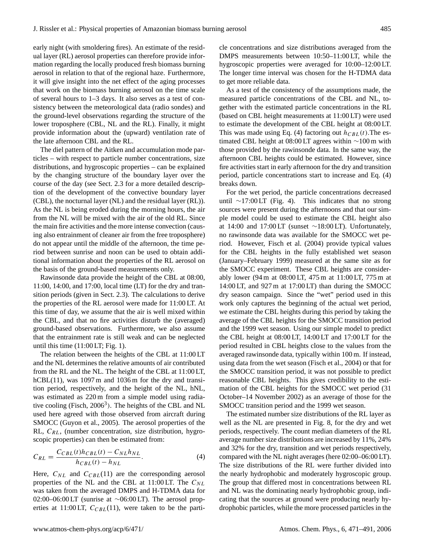early night (with smoldering fires). An estimate of the residual layer (RL) aerosol properties can therefore provide information regarding the locally produced fresh biomass burning aerosol in relation to that of the regional haze. Furthermore, it will give insight into the net effect of the aging processes that work on the biomass burning aerosol on the time scale of several hours to 1–3 days. It also serves as a test of consistency between the meteorological data (radio sondes) and the ground-level observations regarding the structure of the lower troposphere (CBL, NL and the RL). Finally, it might provide information about the (upward) ventilation rate of the late afternoon CBL and the RL.

The diel pattern of the Aitken and accumulation mode particles – with respect to particle number concentrations, size distributions, and hygroscopic properties – can be explained by the changing structure of the boundary layer over the course of the day (see Sect. 2.3 for a more detailed description of the development of the convective boundary layer (CBL), the nocturnal layer (NL) and the residual layer (RL)). As the NL is being eroded during the morning hours, the air from the NL will be mixed with the air of the old RL. Since the main fire activities and the more intense convection (causing also entrainment of cleaner air from the free troposphere) do not appear until the middle of the afternoon, the time period between sunrise and noon can be used to obtain additional information about the properties of the RL aerosol on the basis of the ground-based measurements only.

Rawinsonde data provide the height of the CBL at 08:00, 11:00, 14:00, and 17:00, local time (LT) for the dry and transition periods (given in Sect. 2.3). The calculations to derive the properties of the RL aerosol were made for 11:00 LT. At this time of day, we assume that the air is well mixed within the CBL, and that no fire activities disturb the (averaged) ground-based observations. Furthermore, we also assume that the entrainment rate is still weak and can be neglected until this time  $(11:00 \text{ LT}; \text{Fig. 1}).$ 

The relation between the heights of the CBL at 11:00 LT and the NL determines the relative amounts of air contributed from the RL and the NL. The height of the CBL at 11:00 LT,  $hCBL(11)$ , was 1097 m and 1036 m for the dry and transition period, respectively, and the height of the NL, hNL, was estimated as  $220 \text{ m}$  from a simple model using radiative cooling (Fisch, 2006<sup>3</sup>). The heights of the CBL and NL used here agreed with those observed from aircraft during SMOCC (Guyon et al., 2005). The aerosol properties of the RL,  $C_{RL}$ , (number concentration, size distribution, hygroscopic properties) can then be estimated from:

$$
C_{RL} = \frac{C_{CBL}(t)h_{CBL}(t) - C_{NL}h_{NL}}{h_{CBL}(t) - h_{NL}}.
$$
\n(4)

Here,  $C_{NL}$  and  $C_{CBL}(11)$  are the corresponding aerosol properties of the NL and the CBL at 11:00 LT. The  $C_{NL}$ was taken from the averaged DMPS and H-TDMA data for 02:00–06:00 LT (sunrise at ∼06:00 LT). The aerosol properties at 11:00 LT,  $C_{CBL}(11)$ , were taken to be the particle concentrations and size distributions averaged from the DMPS measurements between 10:50–11:00 LT, while the hygroscopic properties were averaged for 10:00–12:00 LT. The longer time interval was chosen for the H-TDMA data to get more reliable data.

As a test of the consistency of the assumptions made, the measured particle concentrations of the CBL and NL, together with the estimated particle concentrations in the RL (based on CBL height measurements at 11:00 LT) were used to estimate the development of the CBL height at 08:00 LT. This was made using Eq. (4) factoring out  $h_{CBL}(t)$ . The estimated CBL height at 08:00 LT agrees within ∼100 m with those provided by the rawinsonde data. In the same way, the afternoon CBL heights could be estimated. However, since fire activities start in early afternoon for the dry and transition period, particle concentrations start to increase and Eq. (4) breaks down.

For the wet period, the particle concentrations decreased until ∼17:00 LT (Fig. 4). This indicates that no strong sources were present during the afternoons and that our simple model could be used to estimate the CBL height also at 14:00 and 17:00 LT (sunset ∼18:00 LT). Unfortunately, no rawinsonde data was available for the SMOCC wet period. However, Fisch et al. (2004) provide typical values for the CBL heights in the fully established wet season (January–February 1999) measured at the same site as for the SMOCC experiment. These CBL heights are considerably lower (94 m at 08:00 LT, 475 m at 11:00 LT, 775 m at 14:00 LT, and 927 m at 17:00 LT) than during the SMOCC dry season campaign. Since the "wet" period used in this work only captures the beginning of the actual wet period, we estimate the CBL heights during this period by taking the average of the CBL heights for the SMOCC transition period and the 1999 wet season. Using our simple model to predict the CBL height at 08:00 LT, 14:00 LT and 17:00 LT for the period resulted in CBL heights close to the values from the averaged rawinsonde data, typically within 100 m. If instead, using data from the wet season (Fisch et al., 2004) or that for the SMOCC transition period, it was not possible to predict reasonable CBL heights. This gives credibility to the estimation of the CBL heights for the SMOCC wet period (31 October–14 November 2002) as an average of those for the SMOCC transition period and the 1999 wet season.

The estimated number size distributions of the RL layer as well as the NL are presented in Fig. 8, for the dry and wet periods, respectively. The count median diameters of the RL average number size distributions are increased by 11%, 24% and 32% for the dry, transition and wet periods respectively, compared with the NL night averages (here 02:00–06:00 LT). The size distributions of the RL were further divided into the nearly hydrophobic and moderately hygroscopic group. The group that differed most in concentrations between RL and NL was the dominating nearly hydrophobic group, indicating that the sources at ground were producing nearly hydrophobic particles, while the more processed particles in the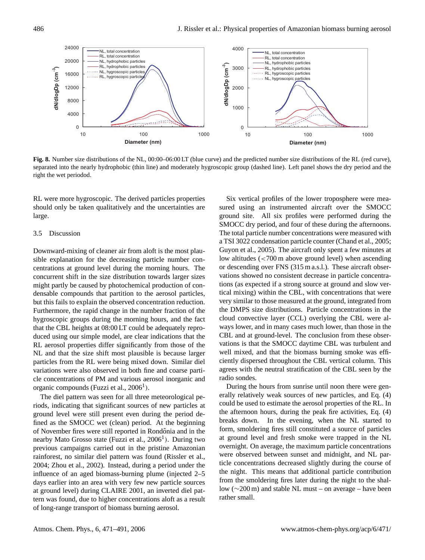

**Fig. 8.** Number size distributions of the NL, 00:00–06:00 LT (blue curve) and the predicted number size distributions of the RL (red curve), separated into the nearly hydrophobic (thin line) and moderately hygroscopic group (dashed line). Left panel shows the dry period and the right the wet periodod.

RL were more hygroscopic. The derived particles properties should only be taken qualitatively and the uncertainties are large.

## 3.5 Discussion

Downward-mixing of cleaner air from aloft is the most plausible explanation for the decreasing particle number concentrations at ground level during the morning hours. The concurrent shift in the size distribution towards larger sizes might partly be caused by photochemical production of condensable compounds that partition to the aerosol particles, but this fails to explain the observed concentration reduction. Furthermore, the rapid change in the number fraction of the hygroscopic groups during the morning hours, and the fact that the CBL heights at 08:00 LT could be adequately reproduced using our simple model, are clear indications that the RL aerosol properties differ significantly from those of the NL and that the size shift most plausible is because larger particles from the RL were being mixed down. Similar diel variations were also observed in both fine and coarse particle concentrations of PM and various aerosol inorganic and organic compounds (Fuzzi et al.,  $2006<sup>1</sup>$ ).

The diel pattern was seen for all three meteorological periods, indicating that significant sources of new particles at ground level were still present even during the period defined as the SMOCC wet (clean) period. At the beginning of November fires were still reported in Rondônia and in the nearby Mato Grosso state (Fuzzi et al., 2006<sup>1</sup>). During two previous campaigns carried out in the pristine Amazonian rainforest, no similar diel pattern was found (Rissler et al., 2004; Zhou et al., 2002). Instead, during a period under the influence of an aged biomass-burning plume (injected 2–5 days earlier into an area with very few new particle sources at ground level) during CLAIRE 2001, an inverted diel pattern was found, due to higher concentrations aloft as a result of long-range transport of biomass burning aerosol.

Six vertical profiles of the lower troposphere were measured using an instrumented aircraft over the SMOCC ground site. All six profiles were performed during the SMOCC dry period, and four of these during the afternoons. The total particle number concentrations were measured with a TSI 3022 condensation particle counter (Chand et al., 2005; Guyon et al., 2005). The aircraft only spent a few minutes at low altitudes (<700 m above ground level) when ascending or descending over FNS (315 m a.s.l.). These aircraft observations showed no consistent decrease in particle concentrations (as expected if a strong source at ground and slow vertical mixing) within the CBL, with concentrations that were very similar to those measured at the ground, integrated from the DMPS size distributions. Particle concentrations in the cloud convective layer (CCL) overlying the CBL were always lower, and in many cases much lower, than those in the CBL and at ground-level. The conclusion from these observations is that the SMOCC daytime CBL was turbulent and well mixed, and that the biomass burning smoke was efficiently dispersed throughout the CBL vertical column. This agrees with the neutral stratification of the CBL seen by the radio sondes.

During the hours from sunrise until noon there were generally relatively weak sources of new particles, and Eq. (4) could be used to estimate the aerosol properties of the RL. In the afternoon hours, during the peak fire activities, Eq. (4) breaks down. In the evening, when the NL started to form, smoldering fires still constituted a source of particles at ground level and fresh smoke were trapped in the NL overnight. On average, the maximum particle concentrations were observed between sunset and midnight, and NL particle concentrations decreased slightly during the course of the night. This means that additional particle contribution from the smoldering fires later during the night to the shallow (∼200 m) and stable NL must – on average – have been rather small.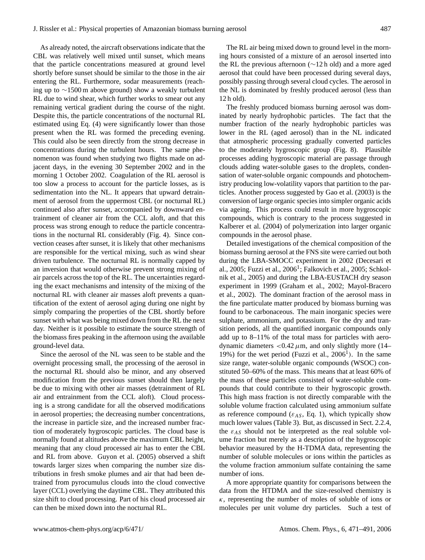As already noted, the aircraft observations indicate that the CBL was relatively well mixed until sunset, which means that the particle concentrations measured at ground level shortly before sunset should be similar to the those in the air entering the RL. Furthermore, sodar measurements (reaching up to ∼1500 m above ground) show a weakly turbulent RL due to wind shear, which further works to smear out any remaining vertical gradient during the course of the night. Despite this, the particle concentrations of the nocturnal RL estimated using Eq. (4) were significantly lower than those present when the RL was formed the preceding evening. This could also be seen directly from the strong decrease in concentrations during the turbulent hours. The same phenomenon was found when studying two flights made on adjacent days, in the evening 30 September 2002 and in the morning 1 October 2002. Coagulation of the RL aerosol is too slow a process to account for the particle losses, as is sedimentation into the NL. It appears that upward detrainment of aerosol from the uppermost CBL (or nocturnal RL) continued also after sunset, accompanied by downward entrainment of cleaner air from the CCL aloft, and that this process was strong enough to reduce the particle concentrations in the nocturnal RL considerably (Fig. 4). Since convection ceases after sunset, it is likely that other mechanisms are responsible for the vertical mixing, such as wind shear driven turbulence. The nocturnal RL is normally capped by an inversion that would otherwise prevent strong mixing of air parcels across the top of the RL. The uncertainties regarding the exact mechanisms and intensity of the mixing of the nocturnal RL with cleaner air masses aloft prevents a quantification of the extent of aerosol aging during one night by simply comparing the properties of the CBL shortly before sunset with what was being mixed down from the RL the next day. Neither is it possible to estimate the source strength of the biomass fires peaking in the afternoon using the available ground-level data.

Since the aerosol of the NL was seen to be stable and the overnight processing small, the processing of the aerosol in the nocturnal RL should also be minor, and any observed modification from the previous sunset should then largely be due to mixing with other air masses (detrainment of RL air and entrainment from the CCL aloft). Cloud processing is a strong candidate for all the observed modifications in aerosol properties; the decreasing number concentrations, the increase in particle size, and the increased number fraction of moderately hygroscopic particles. The cloud base is normally found at altitudes above the maximum CBL height, meaning that any cloud processed air has to enter the CBL and RL from above. Guyon et al. (2005) observed a shift towards larger sizes when comparing the number size distributions in fresh smoke plumes and air that had been detrained from pyrocumulus clouds into the cloud convective layer (CCL) overlying the daytime CBL. They attributed this size shift to cloud processing. Part of his cloud processed air can then be mixed down into the nocturnal RL.

The RL air being mixed down to ground level in the morning hours consisted of a mixture of an aerosol inserted into the RL the previous afternoon (∼12 h old) and a more aged aerosol that could have been processed during several days, possibly passing through several cloud cycles. The aerosol in the NL is dominated by freshly produced aerosol (less than 12 h old).

The freshly produced biomass burning aerosol was dominated by nearly hydrophobic particles. The fact that the number fraction of the nearly hydrophobic particles was lower in the RL (aged aerosol) than in the NL indicated that atmospheric processing gradually converted particles to the moderately hygroscopic group (Fig. 8). Plausible processes adding hygroscopic material are passage through clouds adding water-soluble gases to the droplets, condensation of water-soluble organic compounds and photochemistry producing low-volatility vapors that partition to the particles. Another process suggested by Gao et al. (2003) is the conversion of large organic species into simpler organic acids via ageing. This process could result in more hygroscopic compounds, which is contrary to the process suggested in Kalberer et al. (2004) of polymerization into larger organic compounds in the aerosol phase.

Detailed investigations of the chemical composition of the biomass burning aerosol at the FNS site were carried out both during the LBA-SMOCC experiment in 2002 (Decesari et al., 2005; Fuzzi et al., 2006<sup>1</sup>; Falkovich et al., 2005; Schkolnik et al., 2005) and during the LBA-EUSTACH dry season experiment in 1999 (Graham et al., 2002; Mayol-Bracero et al., 2002). The dominant fraction of the aerosol mass in the fine particulate matter produced by biomass burning was found to be carbonaceous. The main inorganic species were sulphate, ammonium, and potassium. For the dry and transition periods, all the quantified inorganic compounds only add up to 8–11% of the total mass for particles with aerodynamic diameters  $< 0.42 \mu m$ , and only slightly more (14– 19%) for the wet period (Fuzzi et al.,  $2006<sup>1</sup>$ ). In the same size range, water-soluble organic compounds (WSOC) constituted 50–60% of the mass. This means that at least 60% of the mass of these particles consisted of water-soluble compounds that could contribute to their hygroscopic growth. This high mass fraction is not directly comparable with the soluble volume fraction calculated using ammonium sulfate as reference compound ( $\varepsilon_{AS}$ , Eq. 1), which typically show much lower values (Table 3). But, as discussed in Sect. 2.2.4, the  $\varepsilon_{AS}$  should not be interpreted as the real soluble volume fraction but merely as a description of the hygroscopic behavior measured by the H-TDMA data, representing the number of soluble molecules or ions within the particles as the volume fraction ammonium sulfate containing the same number of ions.

A more appropriate quantity for comparisons between the data from the HTDMA and the size-resolved chemistry is  $\kappa$ , representing the number of moles of soluble of ions or molecules per unit volume dry particles. Such a test of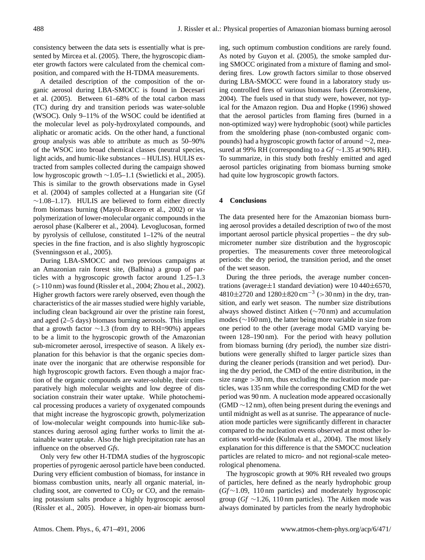consistency between the data sets is essentially what is presented by Mircea et al. (2005). There, the hygroscopic diameter growth factors were calculated from the chemical composition, and compared with the H-TDMA measurements.

A detailed description of the composition of the organic aerosol during LBA-SMOCC is found in Decesari et al. (2005). Between 61–68% of the total carbon mass (TC) during dry and transition periods was water-soluble (WSOC). Only 9–11% of the WSOC could be identified at the molecular level as poly-hydroxylated compounds, and aliphatic or aromatic acids. On the other hand, a functional group analysis was able to attribute as much as 50–90% of the WSOC into broad chemical classes (neutral species, light acids, and humic-like substances – HULIS). HULIS extracted from samples collected during the campaign showed low hygroscopic growth ∼1.05–1.1 (Swietlicki et al., 2005). This is similar to the growth observations made in Gysel et al. (2004) of samples collected at a Hungarian site (Gf  $~\sim$ 1.08–1.17). HULIS are believed to form either directly from biomass burning (Mayol-Bracero et al., 2002) or via polymerization of lower-molecular organic compounds in the aerosol phase (Kalberer et al., 2004). Levoglucosan, formed by pyrolysis of cellulose, constituted 1–12% of the neutral species in the fine fraction, and is also slightly hygroscopic (Svenningsson et al., 2005).

During LBA-SMOCC and two previous campaigns at an Amazonian rain forest site, (Balbina) a group of particles with a hygroscopic growth factor around 1.25–1.3 (>110 nm) was found (Rissler et al., 2004; Zhou et al., 2002). Higher growth factors were rarely observed, even though the characteristics of the air masses studied were highly variable, including clean background air over the pristine rain forest, and aged (2–5 days) biomass burning aerosols. This implies that a growth factor ∼1.3 (from dry to RH=90%) appears to be a limit to the hygroscopic growth of the Amazonian sub-micrometer aerosol, irrespective of season. A likely explanation for this behavior is that the organic species dominate over the inorganic that are otherwise responsible for high hygroscopic growth factors. Even though a major fraction of the organic compounds are water-soluble, their comparatively high molecular weights and low degree of dissociation constrain their water uptake. While photochemical processing produces a variety of oxygenated compounds that might increase the hygroscopic growth, polymerization of low-molecular weight compounds into humic-like substances during aerosol aging further works to limit the attainable water uptake. Also the high precipitation rate has an influence on the observed *Gfs*.

Only very few other H-TDMA studies of the hygroscopic properties of pyrogenic aerosol particle have been conducted. During very efficient combustion of biomass, for instance in biomass combustion units, nearly all organic material, including soot, are converted to  $CO<sub>2</sub>$  or  $CO<sub>3</sub>$  and the remaining potassium salts produce a highly hygroscopic aerosol (Rissler et al., 2005). However, in open-air biomass burning, such optimum combustion conditions are rarely found. As noted by Guyon et al. (2005), the smoke sampled during SMOCC originated from a mixture of flaming and smoldering fires. Low growth factors similar to those observed during LBA-SMOCC were found in a laboratory study using controlled fires of various biomass fuels (Zeromskiene, 2004). The fuels used in that study were, however, not typical for the Amazon region. Dua and Hopke (1996) showed that the aerosol particles from flaming fires (burned in a non-optimized way) were hydrophobic (soot) while particles from the smoldering phase (non-combusted organic compounds) had a hygroscopic growth factor of around ∼2, measured at 99% RH (corresponding to a *Gf* ∼1.35 at 90% RH). To summarize, in this study both freshly emitted and aged aerosol particles originating from biomass burning smoke had quite low hygroscopic growth factors.

## **4 Conclusions**

The data presented here for the Amazonian biomass burning aerosol provides a detailed description of two of the most important aerosol particle physical properties – the dry submicrometer number size distribution and the hygroscopic properties. The measurements cover three meteorological periods: the dry period, the transition period, and the onset of the wet season.

During the three periods, the average number concentrations (average $\pm 1$  standard deviation) were  $10\,440\pm6570$ ,  $4810\pm2720$  and  $1280\pm820$  cm<sup>-3</sup> (> 30 nm) in the dry, transition, and early wet season. The number size distributions always showed distinct Aitken (∼70 nm) and accumulation modes (∼160 nm), the latter being more variable in size from one period to the other (average modal GMD varying between 128–190 nm). For the period with heavy pollution from biomass burning (dry period), the number size distributions were generally shifted to larger particle sizes than during the cleaner periods (transition and wet period). During the dry period, the CMD of the entire distribution, in the size range  $>30$  nm, thus excluding the nucleation mode particles, was 135 nm while the corresponding CMD for the wet period was 90 nm. A nucleation mode appeared occasionally (GMD ∼12 nm), often being present during the evenings and until midnight as well as at sunrise. The appearance of nucleation mode particles were significantly different in character compared to the nucleation events observed at most other locations world-wide (Kulmala et al., 2004). The most likely explanation for this difference is that the SMOCC nucleation particles are related to micro- and not regional-scale meteorological phenomena.

The hygroscopic growth at 90% RH revealed two groups of particles, here defined as the nearly hydrophobic group (*Gf*∼1.09, 110 nm particles) and moderately hygroscopic group (*Gf* ∼1.26, 110 nm particles). The Aitken mode was always dominated by particles from the nearly hydrophobic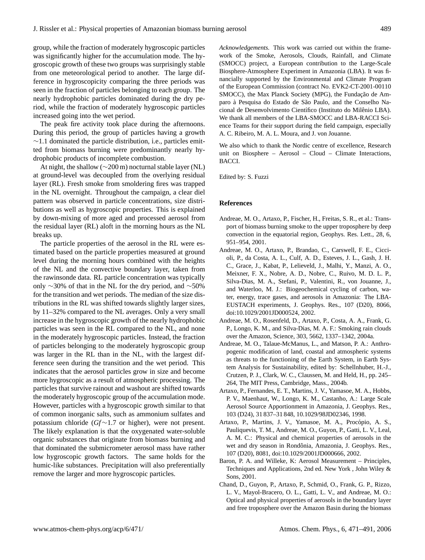group, while the fraction of moderately hygroscopic particles was significantly higher for the accumulation mode. The hygroscopic growth of these two groups was surprisingly stable from one meteorological period to another. The large difference in hygroscopicity comparing the three periods was seen in the fraction of particles belonging to each group. The nearly hydrophobic particles dominated during the dry period, while the fraction of moderately hygroscopic particles increased going into the wet period.

The peak fire activity took place during the afternoons. During this period, the group of particles having a growth  $∼1.1$  dominated the particle distribution, i.e., particles emitted from biomass burning were predominantly nearly hydrophobic products of incomplete combustion.

At night, the shallow (∼200 m) nocturnal stable layer (NL) at ground-level was decoupled from the overlying residual layer (RL). Fresh smoke from smoldering fires was trapped in the NL overnight. Throughout the campaign, a clear diel pattern was observed in particle concentrations, size distributions as well as hygroscopic properties. This is explained by down-mixing of more aged and processed aerosol from the residual layer (RL) aloft in the morning hours as the NL breaks up.

The particle properties of the aerosol in the RL were estimated based on the particle properties measured at ground level during the morning hours combined with the heights of the NL and the convective boundary layer, taken from the rawinsonde data. RL particle concentration was typically only ∼30% of that in the NL for the dry period, and ∼50% for the transition and wet periods. The median of the size distributions in the RL was shifted towards slightly larger sizes, by 11–32% compared to the NL averages. Only a very small increase in the hygroscopic growth of the nearly hydrophobic particles was seen in the RL compared to the NL, and none in the moderately hygroscopic particles. Instead, the fraction of particles belonging to the moderately hygroscopic group was larger in the RL than in the NL, with the largest difference seen during the transition and the wet period. This indicates that the aerosol particles grow in size and become more hygroscopic as a result of atmospheric processing. The particles that survive rainout and washout are shifted towards the moderately hygroscopic group of the accumulation mode. However, particles with a hygroscopic growth similar to that of common inorganic salts, such as ammonium sulfates and potassium chloride (*Gf*∼1.7 or higher), were not present. The likely explanation is that the oxygenated water-soluble organic substances that originate from biomass burning and that dominated the submicrometer aerosol mass have rather low hygroscopic growth factors. The same holds for the humic-like substances. Precipitation will also preferentially remove the larger and more hygroscopic particles.

*Acknowledgements.* This work was carried out within the framework of the Smoke, Aerosols, Clouds, Rainfall, and Climate (SMOCC) project, a European contribution to the Large-Scale Biosphere-Atmosphere Experiment in Amazonia (LBA). It was financially supported by the Environmental and Climate Program of the European Commission (contract No. EVK2-CT-2001-00110 SMOCC), the Max Planck Society (MPG), the Fundação de Amparo à Pesquisa do Estado de São Paulo, and the Conselho Nacional de Desenvolvimento Científico (Instituto do Milênio LBA). We thank all members of the LBA-SMOCC and LBA-RACCI Science Teams for their support during the field campaign, especially A. C. Ribeiro, M. A. L. Moura, and J. von Jouanne.

We also which to thank the Nordic centre of excellence, Research unit on Biosphere – Aerosol – Cloud – Climate Interactions, BACCI.

Edited by: S. Fuzzi

#### **References**

- Andreae, M. O., Artaxo, P., Fischer, H., Freitas, S. R., et al.: Transport of biomass burning smoke to the upper troposphere by deep convection in the equatorial region, Geophys. Res. Lett., 28, 6, 951–954, 2001.
- Andreae, M. O., Artaxo, P., Brandao, C., Carswell, F. E., Ciccioli, P., da Costa, A. L., Culf, A. D., Esteves, J. L., Gash, J. H. C., Grace, J., Kabat, P., Lelieveld, J., Malhi, Y., Manzi, A. O., Meixner, F. X., Nobre, A. D., Nobre, C., Ruivo, M. D. L. P., Silva-Dias, M. A., Stefani, P., Valentini, R., von Jouanne, J., and Waterloo, M. J.: Biogeochemical cycling of carbon, water, energy, trace gases, and aerosols in Amazonia: The LBA-EUSTACH experiments, J. Geophys. Res., 107 (D20), 8066, doi:10.1029/2001JD000524, 2002.
- Andreae, M. O., Rosenfeld, D., Artaxo, P., Costa, A. A., Frank, G. P., Longo, K. M., and Silva-Dias, M. A. F.: Smoking rain clouds over the Amazon, Science, 303, 5662, 1337–1342, 2004a.
- Andreae, M. O., Talaue-McManus, L., and Matson, P. A.: Anthropogenic modification of land, coastal and atmospheric systems as threats to the functioning of the Earth System, in Earth System Analysis for Sustainability, edited by: Schellnhuber, H.-J., Crutzen, P. J., Clark, W. C., Claussen, M. and Held, H., pp. 245– 264, The MIT Press, Cambridge, Mass., 2004b.
- Artaxo, P., Fernandes, E. T., Martins, J. V., Yamasoe, M. A., Hobbs, P. V., Maenhaut, W., Longo, K. M., Castanho, A.: Large Scale Aerosol Source Apportionment in Amazonia, J. Geophys. Res., 103 (D24), 31 837–31 848, 10.1029/98JD02346, 1998.
- Artaxo, P., Martins, J. V., Yamasoe, M. A., Procópio, A. S., Pauliquevis, T. M., Andreae, M. O., Guyon, P., Gatti, L. V., Leal, A. M. C.: Physical and chemical properties of aerosols in the wet and dry season in Rondônia, Amazonia, J. Geophys. Res., 107 (D20), 8081, doi:10.1029/2001JD000666, 2002.
- Baron, P. A. and Willeke, K: Aerosol Measurement Principles, Techniques and Applications, 2nd ed. New York , John Wiley & Sons, 2001.
- Chand, D., Guyon, P., Artaxo, P., Schmid, O., Frank, G. P., Rizzo, L. V., Mayol-Bracero, O. L., Gatti, L. V., and Andreae, M. O.: Optical and physical properties of aerosols in the boundary layer and free troposphere over the Amazon Basin during the biomass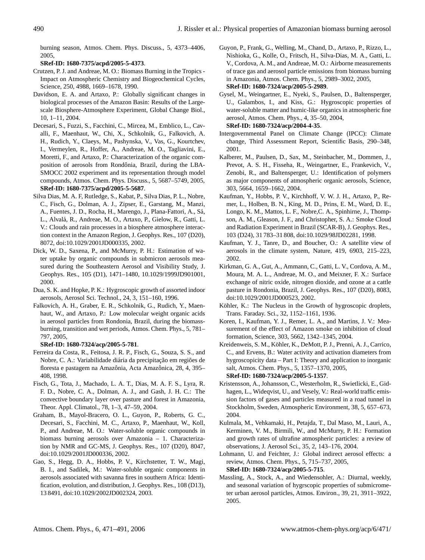burning season, Atmos. Chem. Phys. Discuss., 5, 4373–4406, 2005,

# **[SRef-ID: 1680-7375/acpd/2005-5-4373](http://direct.sref.org/1680-7375/acpd/2005-5-4373)**.

- Crutzen, P. J. and Andreae, M. O.: Biomass Burning in the Tropics Impact on Atmospheric Chemistry and Biogeochemical Cycles, Science, 250, 4988, 1669–1678, 1990.
- Davidson, E. A. and Artaxo, P.: Globally significant changes in biological processes of the Amazon Basin: Results of the Largescale Biosphere-Atmosphere Experiment, Global Change Biol., 10, 1–11, 2004.
- Decesari, S., Fuzzi, S., Facchini, C., Mircea, M., Emblico, L., Cavalli, F., Maenhaut, W., Chi, X., Schkolnik, G., Falkovich, A. H., Rudich, Y., Claeys, M., Pashynska, V., Vas, G., Kourtchev, I., Vermeylen, R., Hoffer, A., Andreae, M. O., Tagliavini, E., Moretti, F., and Artaxo, P.: Characterization of the organic composition of aerosols from Rondônia, Brazil, during the LBA-SMOCC 2002 experiment and its representation through model compounds, Atmos. Chem. Phys. Discuss., 5, 5687–5749, 2005, **[SRef-ID: 1680-7375/acpd/2005-5-5687](http://direct.sref.org/1680-7375/acpd/2005-5-5687)**.
- Silva Dias, M. A. F, Rutledge, S., Kabat, P., Silva Dias, P. L., Nobre, C., Fisch, G., Dolman, A. J., Zipser, E., Garstang, M., Manzi, A., Fuentes, J. D., Rocha, H., Marengo, J., Plana-Fattori, A., Sa,´ L., Alvala, R., Andreae, M. O., Artaxo, P., Gielow, R., Gatti, L. ´ V.: Clouds and rain processes in a biosphere atmosphere interaction context in the Amazon Region, J. Geophys. Res., 107 (D20), 8072, doi:10.1029/2001JD000335, 2002.
- Dick, W. D., Saxena, P., and McMurry, P. H.: Estimation of water uptake by organic compounds in submicron aerosols measured during the Southeastern Aerosol and Visibility Study, J. Geophys. Res., 105 (D1), 1471–1480, 10.1029/1999JD901001, 2000.
- Dua, S. K. and Hopke, P. K.: Hygroscopic growth of assorted indoor aerosols, Aerosol Sci. Technol., 24, 3, 151–160, 1996.
- Falkovich, A. H., Graber, E. R., Schkolnik, G., Rudich, Y., Maenhaut, W., and Artaxo, P.: Low molecular weight organic acids in aerosol particles from Rondonia, Brazil, during the biomassburning, transition and wet periods, Atmos. Chem. Phys., 5, 781– 797, 2005,

# **[SRef-ID: 1680-7324/acp/2005-5-781](http://direct.sref.org/1680-7324/acp/2005-5-781)**.

- Ferreira da Costa, R., Feitosa, J. R. P., Fisch, G., Souza, S. S., and Nobre, C. A.: Variabilidade diária da precipitação em regiões de floresta e pastagem na Amazônia, Acta Amazônica, 28, 4, 395– 408, 1998.
- Fisch, G., Tota, J., Machado, L. A. T., Dias, M. A. F. S., Lyra, R. F. D., Nobre, C. A., Dolman, A. J., and Gash, J. H. C.: The convective boundary layer over pasture and forest in Amazonia, Theor. Appl. Climatol., 78, 1–3, 47–59, 2004.
- Graham, B., Mayol-Bracero, O. L., Guyon, P., Roberts, G. C., Decesari, S., Facchini, M. C., Artaxo, P., Maenhaut, W., Koll, P., and Andreae, M. O.: Water-soluble organic compounds in biomass burning aerosols over Amazonia – 1. Characterization by NMR and GC-MS, J. Geophys. Res., 107 (D20), 8047, doi:10.1029/2001JD000336, 2002.
- Gao, S., Hegg, D. A., Hobbs, P. V., Kirchstetter, T. W., Magi, B. I., and Sadilek, M.: Water-soluble organic components in aerosols associated with savanna fires in southern Africa: Identification, evolution, and distribution, J. Geophys. Res., 108 (D13), 13 8491, doi:10.1029/2002JD002324, 2003.
- Guyon, P., Frank, G., Welling, M., Chand, D., Artaxo, P., Rizzo, L., Nishioka, G., Kolle, O., Fritsch, H., Silva-Dias, M. A., Gatti, L. V., Cordova, A. M., and Andreae, M. O.: Airborne measurements of trace gas and aerosol particle emissions from biomass burning in Amazonia, Atmos. Chem. Phys., 5, 2989–3002, 2005, **[SRef-ID: 1680-7324/acp/2005-5-2989](http://direct.sref.org/1680-7324/acp/2005-5-2989)**.
- Gysel, M., Weingartner, E., Nyeki, S., Paulsen, D., Baltensperger, U., Galambos, I., and Kiss, G.: Hygroscopic properties of water-soluble matter and humic-like organics in atmospheric fine aerosol, Atmos. Chem. Phys., 4, 35–50, 2004, **[SRef-ID: 1680-7324/acp/2004-4-35](http://direct.sref.org/1680-7324/acp/2004-4-35)**.

```
Intergovernmental Panel on Climate Change (IPCC): Climate
```
- change, Third Assessment Report, Scientific Basis, 290–348, 2001.
- Kalberer, M., Paulsen, D., Sax, M., Steinbacher, M., Dommen, J., Prevot, A. S. H., Fisseha, R., Weingartner, E., Frankevich, V., Zenobi, R., and Baltensperger, U.: Identification of polymers as major components of atmospheric organic aerosols, Science, 303, 5664, 1659–1662, 2004.
- Kaufman, Y., Hobbs, P. V., Kirchhoff, V. W. J. H., Artaxo, P., Remer, L., Holben, B. N., King, M. D., Prins, E. M., Ward, D. E., Longo, K. M., Mattos, L. F., Nobre,C. A., Spinhirne, J., Thompson, A. M., Gleason, J. F., and Christopher, S. A.: Smoke Cloud and Radiation Experiment in Brazil (SCAR-B), J. Geophys. Res., 103 (D24), 31 783–31 808, doi:10.1029/98JD02281, 1998.
- Kaufman, Y. J., Tanre, D., and Boucher, O.: A satellite view of aerosols in the climate system, Nature, 419, 6903, 215–223, 2002.
- Kirkman, G. A., Gut, A., Ammann, C., Gatti, L. V., Cordova, A. M., Moura, M. A. L., Andreae, M. O., and Meixner, F. X.: Surface exchange of nitric oxide, nitrogen dioxide, and ozone at a cattle pasture in Rondonia, Brazil, J. Geophys. Res., 107 (D20), 8083, doi:10.1029/2001JD000523, 2002.
- Köhler, K.: The Nucleus in the Growth of hygroscopic droplets, Trans. Faraday. Sci., 32, 1152–1161, 1936.
- Koren, I., Kaufman, Y. J., Remer, L. A., and Martins, J. V.: Measurement of the effect of Amazon smoke on inhibition of cloud formation, Science, 303, 5662, 1342–1345, 2004.
- Kreidenweis, S. M., Köhler, K., DeMott, P. J., Prenni, A. J., Carrico, C., and Ervens, B.: Water activity and activation diameters from hygroscopicity data – Part I: Theory and application to inorganic salt, Atmos. Chem. Phys., 5, 1357–1370, 2005, **[SRef-ID: 1680-7324/acp/2005-5-1357](http://direct.sref.org/1680-7324/acp/2005-5-1357)**.

Kristensson, A., Johansson, C., Westerholm, R., Swietlicki, E., Gidhagen, L., Wideqvist, U., and Vesely, V.: Real-world traffic emission factors of gases and particles measured in a road tunnel in Stockholm, Sweden, Atmospheric Environment, 38, 5, 657–673, 2004.

- Kulmala, M., Vehkamaki, H., Petajda, T., Dal Maso, M., Lauri, A., Kerminen, V. M., Birmili, W., and McMurry, P. H.: Formation and growth rates of ultrafine atmospheric particles: a review of observations, J. Aerosol Sci., 35, 2, 143–176, 2004.
- Lohmann, U. and Feichter, J.: Global indirect aerosol effects: a review, Atmos. Chem. Phys., 5, 715–737, 2005, **[SRef-ID: 1680-7324/acp/2005-5-715](http://direct.sref.org/1680-7324/acp/2005-5-715)**.
- Massling, A., Stock, A., and Wiedensohler, A.: Diurnal, weekly, and seasonal variation of hygrscopic properties of submicrometer urban aerosol particles, Atmos. Environ., 39, 21, 3911–3922, 2005.